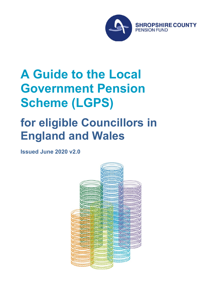

# **A Guide to the Local Government Pension Scheme (LGPS)**

# **for eligible Councillors in England and Wales**

**Issued June 2020 v2.0**

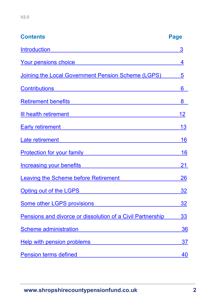| <b>Contents</b>                                                                                                                                                                                                                      | <b>Page</b> |
|--------------------------------------------------------------------------------------------------------------------------------------------------------------------------------------------------------------------------------------|-------------|
| <b>Introduction</b>                                                                                                                                                                                                                  | 3           |
| <u>Your pensions choice in the matter of the set of the set of the set of the set of the set of the set of the set of the set of the set of the set of the set of the set of the set of the set of the set of the set of the set</u> | 4           |
| Joining the Local Government Pension Scheme (LGPS)                                                                                                                                                                                   | 5           |
|                                                                                                                                                                                                                                      | 6           |
|                                                                                                                                                                                                                                      | 8           |
| <u>III health retirement</u> and the state of the state of the state of the state of the state of the state of the state of the state of the state of the state of the state of the state of the state of the state of the state of  | 12          |
| Early retirement <b>Early</b> retirement                                                                                                                                                                                             | 13          |
| Late retirement<br><u> 1989 - Andrea Station Barbara, amerikan per</u>                                                                                                                                                               | 16          |
| Protection for your family <b>contained the contract of the contract of the contract of the contract of the contract of the contract of the contract of the contract of the contract of the contract of the contract of the cont</b> | 16          |
| <u>Increasing your benefits</u> <b>Example 2018 CONVERTING CONTROL</b>                                                                                                                                                               | 21          |
| <b>Leaving the Scheme before Retirement</b>                                                                                                                                                                                          | 26          |
| Opting out of the LGPS <b>CONTAINS AND THE SET OF STATE AND THE SET OF STATE AND THE STATE OF STATE AND THE STATE OF STATE AND THE STATE OF STATE AND THE STATE OF STATE AND THE STATE OF STATE AND THE STATE OF STATE AND THE S</b> | 32          |
| <b>Some other LGPS provisions</b>                                                                                                                                                                                                    | 32          |
| Pensions and divorce or dissolution of a Civil Partnership                                                                                                                                                                           | 33          |
| Scheme administration and the control of the control of the control of the control of the control of the control of the control of the control of the control of the control of the control of the control of the control of t       | 36          |
| Help with pension problems                                                                                                                                                                                                           | 37          |
| <b>Pension terms defined</b>                                                                                                                                                                                                         | 40          |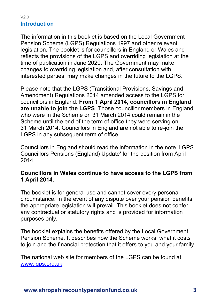#### <span id="page-2-0"></span> $V20$ **Introduction**

The information in this booklet is based on the Local Government Pension Scheme (LGPS) Regulations 1997 and other relevant legislation. The booklet is for councillors in England or Wales and reflects the provisions of the LGPS and overriding legislation at the time of publication in June 2020. The Government may make changes to overriding legislation and, after consultation with interested parties, may make changes in the future to the LGPS.

Please note that the LGPS (Transitional Provisions, Savings and Amendment) Regulations 2014 amended access to the LGPS for councillors in England. **From 1 April 2014, councillors in England are unable to join the LGPS**. Those councillor members in England who were in the Scheme on 31 March 2014 could remain in the Scheme until the end of the term of office they were serving on 31 March 2014. Councillors in England are not able to re-join the LGPS in any subsequent term of office.

Councillors in England should read the information in the note ['LGPS](http://www.lgpslibrary.org/assets/gas/ew/CLLREv1.9c.doc)  [Councillors Pensions \(England\) Update'](http://www.lgpslibrary.org/assets/gas/ew/CLLREv1.9c.doc) for the position from April 2014.

#### **Councillors in Wales continue to have access to the LGPS from 1 April 2014.**

The booklet is for general use and cannot cover every personal circumstance. In the event of any dispute over your pension benefits, the appropriate legislation will prevail. This booklet does not confer any contractual or statutory rights and is provided for information purposes only.

The booklet explains the benefits offered by the Local Government Pension Scheme. It describes how the Scheme works, what it costs to join and the financial protection that it offers to you and your family.

The national web site for members of the LGPS can be found at [www.lgps.org.uk](http://www.lgps.org.uk/)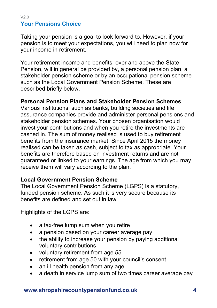#### <span id="page-3-0"></span> $V20$ **Your Pensions Choice**

Taking your pension is a goal to look forward to. However, if your pension is to meet your expectations, you will need to plan now for your income in retirement.

Your retirement income and benefits, over and above the State Pension, will in general be provided by, a personal pension plan, a stakeholder pension scheme or by an occupational pension scheme such as the Local Government Pension Scheme. These are described briefly below.

#### **Personal Pension Plans and Stakeholder Pension Schemes**

Various institutions, such as banks, building societies and life assurance companies provide and administer personal pensions and stakeholder pension schemes. Your chosen organisation would invest your contributions and when you retire the investments are cashed in. The sum of money realised is used to buy retirement benefits from the insurance market. Since April 2015 the money realised can be taken as cash, subject to tax as appropriate. Your benefits are therefore based on investment returns and are not guaranteed or linked to your earnings. The age from which you may receive them will vary according to the plan.

#### **Local Government Pension Scheme**

The Local Government Pension Scheme (LGPS) is a statutory, funded pension scheme. As such it is very secure because its benefits are defined and set out in law.

Highlights of the LGPS are:

- a tax-free lump sum when you retire
- a pension based on your career average pay
- the ability to increase your pension by paying additional voluntary contributions
- voluntary retirement from age 55
- retirement from age 50 with your council's consent
- an ill health pension from any age
- a death in service lump sum of two times career average pay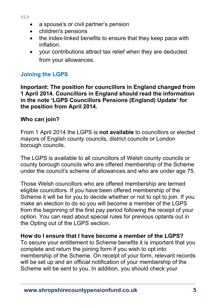- a spouse's or civil partner's pension
- children's pensions
- the index-linked benefits to ensure that they keep pace with inflation.
- your contributions attract tax relief when they are deducted from your allowances.

# <span id="page-4-0"></span>**Joining the LGPS**

**Important: The position for councillors in England changed from 1 April 2014. Councillors in England should read the information in the note 'LGPS Councillors Pensions (England) Update' for the position from April 2014.** 

## **Who can join?**

From 1 April 2014 the LGPS is **not available** to councillors or elected mayors of English county councils, district councils or London borough councils.

The LGPS is available to all councillors of Welsh county councils or county borough councils who are offered membership of the Scheme under the council's scheme of allowances and who are under age 75.

Those Welsh councillors who are offered membership are termed eligible councillors. If you have been offered membership of the Scheme it will be for you to decide whether or not to opt to join. If you make an election to do so you will become a member of the LGPS from the beginning of the first pay period following the receipt of your option. You can read about special rules for previous optants out in the [Opting out of the LGPS](file:///C:/Users/CC160405/AppData/Local/Packages/Microsoft.MicrosoftEdge_8wekyb3d8bbwe/TempState/Downloads/CLLRFv1.9t%20(1).docx%23eeOpting) section.

#### **How do I ensure that I have become a member of the LGPS?**

To secure your entitlement to Scheme benefits it is important that you complete and return the joining form if you wish to opt into membership of the Scheme. On receipt of your form, relevant records will be set up and an official notification of your membership of the Scheme will be sent to you. In addition, you should check your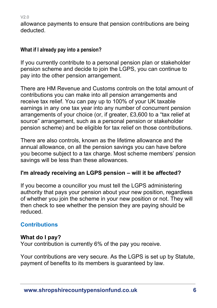$V20$ 

allowance payments to ensure that pension contributions are being deducted.

## **What if I already pay into a pension?**

If you currently contribute to a personal pension plan or stakeholder pension scheme and decide to join the LGPS, you can continue to pay into the other pension arrangement.

There are HM Revenue and Customs controls on the total amount of contributions you can make into all pension arrangements and receive tax relief. You can pay up to 100% of your UK taxable earnings in any one tax year into any number of concurrent pension arrangements of your choice (or, if greater, £3,600 to a "tax relief at source" arrangement, such as a personal pension or stakeholder pension scheme) and be eligible for tax relief on those contributions.

There are also controls, known as the lifetime allowance and the annual allowance, on all the pension savings you can have before you become subject to a tax charge. Most scheme members' pension savings will be less than these allowances.

# **I'm already receiving an LGPS pension – will it be affected?**

If you become a councillor you must tell the LGPS administering authority that pays your pension about your new position, regardless of whether you join the scheme in your new position or not. They will then check to see whether the pension they are paying should be reduced.

# <span id="page-5-0"></span>**Contributions**

## **What do I pay?**

Your contribution is currently 6% of the pay you receive.

Your contributions are very secure. As the LGPS is set up by Statute, payment of benefits to its members is guaranteed by law.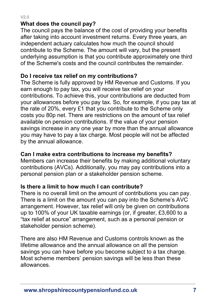#### **What does the council pay?**

The council pays the balance of the cost of providing your benefits after taking into account investment returns. Every three years, an independent actuary calculates how much the council should contribute to the Scheme. The amount will vary, but the present underlying assumption is that you contribute approximately one third of the Scheme's costs and the council contributes the remainder.

## **Do I receive tax relief on my contributions?**

The Scheme is fully approved by HM Revenue and Customs. If you earn enough to pay tax, you will receive tax relief on your contributions. To achieve this, your contributions are deducted from your allowances before you pay tax. So, for example, if you pay tax at the rate of 20%, every £1 that you contribute to the Scheme only costs you 80p net. There are restrictions on the amount of tax relief available on pension contributions. If the value of your pension savings increase in any one year by more than the annual allowance you may have to pay a tax charge. Most people will not be affected by the annual allowance.

#### **Can I make extra contributions to increase my benefits?**

Members can increase their benefits by making additional voluntary contributions (AVCs). Additionally, you may pay contributions into a personal pension plan or a stakeholder pension scheme.

#### **Is there a limit to how much I can contribute?**

There is no overall limit on the amount of contributions you can pay. There is a limit on the amount you can pay into the Scheme's AVC arrangement. However, tax relief will only be given on contributions up to 100% of your UK taxable earnings (or, if greater, £3,600 to a "tax relief at source" arrangement, such as a personal pension or stakeholder pension scheme).

There are also HM Revenue and Customs controls known as the lifetime allowance and the annual allowance on all the pension savings you can have before you become subject to a tax charge. Most scheme members' pension savings will be less than these allowances.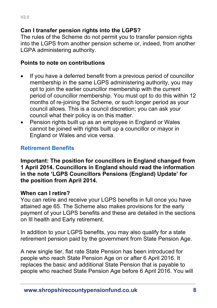#### **Can I transfer pension rights into the LGPS?**

The rules of the Scheme do not permit you to transfer pension rights into the LGPS from another pension scheme or, indeed, from another LGPA administering authority.

## **Points to note on contributions**

- If you have a deferred benefit from a previous period of councillor membership in the same LGPS administering authority, you may opt to join the earlier councillor membership with the current period of councillor membership. You must opt to do this within 12 months of re-joining the Scheme, or such longer period as your council allows. This is a council discretion; you can ask your council what their policy is on this matter.
- Pension rights built up as an employee in England or Wales cannot be joined with rights built up a councillor or mayor in England or Wales and vice versa.

## <span id="page-7-0"></span>**Retirement Benefits**

**Important: The position for councillors in England changed from 1 April 2014. Councillors in England should read the information in the note 'LGPS Councillors Pensions (England) Update' for the position from April 2014.**

#### **When can I retire?**

You can retire and receive your LGPS benefits in full once you have attained age 65. The Scheme also makes provisions for the early payment of your LGPS benefits and these are detailed in the sections on Ill health and Early retirement.

In addition to your LGPS benefits, you may also qualify for a state retirement pension paid by the government from State Pension Age.

A new single tier, flat rate State Pension has been introduced for people who reach State Pension Age on or after 6 April 2016. It replaces the basic and additional State Pension that is payable to people who reached State Pension Age before 6 April 2016. You will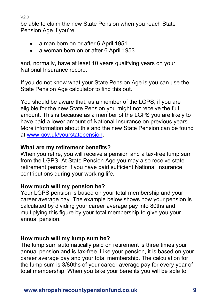be able to claim the new State Pension when you reach State Pension Age if you're

- a man born on or after 6 April 1951
- a woman born on or after 6 April 1953

and, normally, have at least 10 years qualifying years on your National Insurance record.

If you do not know what your State Pension Age is you can use the State Pension Age calculator to find this out.

You should be aware that, as a member of the LGPS, if you are eligible for the new State Pension you might not receive the full amount. This is because as a member of the LGPS you are likely to have paid a lower amount of National Insurance on previous years. More information about this and the new State Pension can be found at [www.gov.uk/yourstatepension.](http://www.gov.uk/yourstatepension)

## **What are my retirement benefits?**

When you retire, you will receive a pension and a tax-free lump sum from the LGPS. At State Pension Age you may also receive state retirement pension if you have paid sufficient National Insurance contributions during your working life.

## **How much will my pension be?**

Your LGPS pension is based on your total membership and your career average pay. The example below shows how your pension is calculated by dividing your career average pay into 80ths and multiplying this figure by your total membership to give you your annual pension.

# **How much will my lump sum be?**

The lump sum automatically paid on retirement is three times your annual pension and is tax-free. Like your pension, it is based on your career average pay and your total membership. The calculation for the lump sum is 3/80ths of your career average pay for every year of total membership. When you take your benefits you will be able to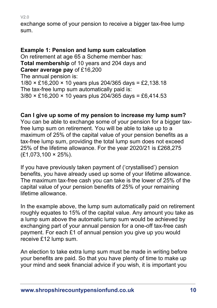exchange some of your pension to receive a bigger tax-free lump sum.

## **Example 1: Pension and lump sum calculation**

On retirement at age 65 a Scheme member has: **Total membership** of 10 years and 204 days and **Career average pay** of £16,200 The annual pension is: 1/80 × £16,200 × 10 years plus 204/365 days = £2,138.18 The tax-free lump sum automatically paid is: 3/80 × £16,200 × 10 years plus 204/365 days = £6,414.53

#### **Can I give up some of my pension to increase my lump sum?**

You can be able to exchange some of your pension for a bigger taxfree lump sum on retirement. You will be able to take up to a maximum of 25% of the capital value of your pension benefits as a tax-free lump sum, providing the total lump sum does not exceed 25% of the lifetime allowance. For the year 2020/21 is £268,275 (£1,073,100 × 25%).

If you have previously taken payment of ('crystallised') pension benefits, you have already used up some of your lifetime allowance. The maximum tax-free cash you can take is the lower of 25% of the capital value of your pension benefits of 25% of your remaining lifetime allowance.

In the example above, the lump sum automatically paid on retirement roughly equates to 15% of the capital value. Any amount you take as a lump sum above the automatic lump sum would be achieved by exchanging part of your annual pension for a one-off tax-free cash payment. For each £1 of annual pension you give up you would receive £12 lump sum.

An election to take extra lump sum must be made in writing before your benefits are paid. So that you have plenty of time to make up your mind and seek financial advice if you wish, it is important you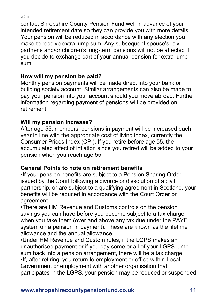$V20$ 

contact Shropshire County Pension Fund well in advance of your intended retirement date so they can provide you with more details. Your pension will be reduced in accordance with any election you make to receive extra lump sum. Any subsequent spouse's, civil partner's and/or children's long-term pensions will not be affected if you decide to exchange part of your annual pension for extra lump sum.

## **How will my pension be paid?**

Monthly pension payments will be made direct into your bank or building society account. Similar arrangements can also be made to pay your pension into your account should you move abroad. Further information regarding payment of pensions will be provided on retirement.

# **Will my pension increase?**

After age 55, members' pensions in payment will be increased each year in line with the appropriate cost of living index, currently the Consumer Prices Index (CPI). If you retire before age 55, the accumulated effect of inflation since you retired will be added to your pension when you reach age 55.

## **General Points to note on retirement benefits**

•If your pension benefits are subject to a Pension Sharing Order issued by the Court following a divorce or dissolution of a civil partnership, or are subject to a qualifying agreement in Scotland, your benefits will be reduced in accordance with the Court Order or agreement.

•There are HM Revenue and Customs controls on the pension savings you can have before you become subject to a tax charge when you take them (over and above any tax due under the PAYE system on a pension in payment). These are known as the lifetime allowance and the annual allowance.

•Under HM Revenue and Custom rules, if the LGPS makes an unauthorised payment or if you pay some or all of your LGPS lump sum back into a pension arrangement, there will be a tax charge. •If, after retiring, you return to employment or office within Local Government or employment with another organisation that participates in the LGPS, your pension may be reduced or suspended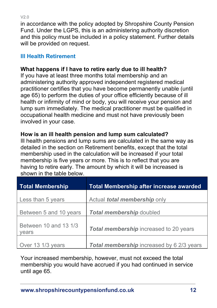in accordance with the policy adopted by Shropshire County Pension Fund. Under the LGPS, this is an administering authority discretion and this policy must be included in a policy statement. Further details will be provided on request.

## <span id="page-11-0"></span>**Ill Health Retirement**

# **What happens if I have to retire early due to ill health?**

If you have at least three months total membership and an administering authority approved independent registered medical practitioner certifies that you have become permanently unable (until age 65) to perform the duties of your office efficiently because of ill health or infirmity of mind or body, you will receive your pension and lump sum immediately. The medical practitioner must be qualified in occupational health medicine and must not have previously been involved in your case.

## **How is an ill health pension and lump sum calculated?**

Ill health pensions and lump sums are calculated in the same way as detailed in the section on Retirement benefits, except that the total membership used in the calculation will be increased if your total membership is five years or more. This is to reflect that you are having to retire early. The amount by which it will be increased is shown in the table below.

| <b>Total Membership</b>        | <b>Total Membership after increase awarded</b> |
|--------------------------------|------------------------------------------------|
| Less than 5 years              | Actual <i>total membership</i> only            |
| Between 5 and 10 years         | <b>Total membership doubled</b>                |
| Between 10 and 13 1/3<br>vears | <b>Total membership</b> increased to 20 years  |
| Over 13 1/3 years              | Total membership increased by 6 2/3 years      |

Your increased membership, however, must not exceed the total membership you would have accrued if you had continued in service until age 65.

 $V20$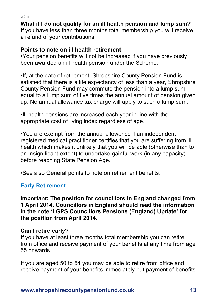V2.0 **What if I do not qualify for an ill health pension and lump sum?** 

If you have less than three months total membership you will receive a refund of your contributions.

#### **Points to note on ill health retirement**

•Your pension benefits will not be increased if you have previously been awarded an ill health pension under the Scheme.

•If, at the date of retirement, Shropshire County Pension Fund is satisfied that there is a life expectancy of less than a year, Shropshire County Pension Fund may commute the pension into a lump sum equal to a lump sum of five times the annual amount of pension given up. No annual allowance tax charge will apply to such a lump sum.

•Ill health pensions are increased each year in line with the appropriate cost of living index regardless of age.

•You are exempt from the annual allowance if an independent registered medical practitioner certifies that you are suffering from ill health which makes it unlikely that you will be able (otherwise than to an insignificant extent) to undertake gainful work (in any capacity) before reaching State Pension Age.

•See also General points to note on retirement benefits.

# <span id="page-12-0"></span>**Early Retirement**

**Important: The position for councillors in England changed from 1 April 2014. Councillors in England should read the information in the note 'LGPS Councillors Pensions (England) Update' for the position from April 2014.** 

# **Can I retire early?**

If you have at least three months total membership you can retire from office and receive payment of your benefits at any time from age 55 onwards.

If you are aged 50 to 54 you may be able to retire from office and receive payment of your benefits immediately but payment of benefits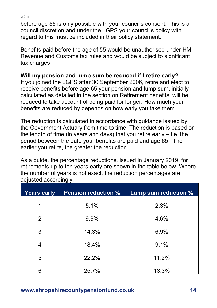before age 55 is only possible with your council's consent. This is a council discretion and under the LGPS your council's policy with regard to this must be included in their policy statement.

Benefits paid before the age of 55 would be unauthorised under HM Revenue and Customs tax rules and would be subject to significant tax charges.

## **Will my pension and lump sum be reduced if I retire early?**

If you joined the LGPS after 30 September 2006, retire and elect to receive benefits before age 65 your pension and lump sum, initially calculated as detailed in the section on Retirement benefits, will be reduced to take account of being paid for longer. How much your benefits are reduced by depends on how early you take them.

The reduction is calculated in accordance with guidance issued by the Government Actuary from time to time. The reduction is based on the length of time (in years and days) that you retire early  $-$  i.e. the period between the date your benefits are paid and age 65. The earlier you retire, the greater the reduction.

As a guide, the percentage reductions, issued in January 2019, for retirements up to ten years early are shown in the table below. Where the number of years is not exact, the reduction percentages are adjusted accordingly.

| <b>Years early</b> | <b>Pension reduction %</b> | Lump sum reduction % |
|--------------------|----------------------------|----------------------|
| 1                  | 5.1%                       | 2.3%                 |
| $\overline{2}$     | 9.9%                       | 4.6%                 |
| 3                  | 14.3%                      | 6.9%                 |
| 4                  | 18.4%                      | 9.1%                 |
| 5                  | 22.2%                      | 11.2%                |
| 6                  | 25.7%                      | 13.3%                |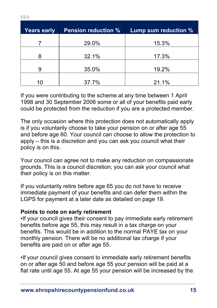| <b>Years early</b> | <b>Pension reduction %</b> | Lump sum reduction % |
|--------------------|----------------------------|----------------------|
|                    | 29.0%                      | 15.3%                |
| 8                  | 32.1%                      | 17.3%                |
| 9                  | 35.0%                      | 19.2%                |
| 10                 | 37.7%                      | 21.1%                |

If you were contributing to the scheme at any time between 1 April 1998 and 30 September 2006 some or all of your benefits paid early could be protected from the reduction if you are a protected member.

The only occasion where this protection does not automatically apply is if you voluntarily choose to take your pension on or after age 55 and before age 60. Your council can choose to allow the protection to apply – this is a discretion and you can ask you council what their policy is on this.

Your council can agree not to make any reduction on compassionate grounds. This is a council discretion; you can ask your council what their policy is on this matter.

If you voluntarily retire before age 65 you do not have to receive immediate payment of your benefits and can defer them within the LGPS for payment at a later date as detailed on page 19.

#### **Points to note on early retirement**

•If your council gives their consent to pay immediate early retirement benefits before age 55, this may result in a tax charge on your benefits. This would be in addition to the normal PAYE tax on your monthly pension. There will be no additional tax charge if your benefits are paid on or after age 55.

•If your council gives consent to immediate early retirement benefits on or after age 50 and before age 55 your pension will be paid at a flat rate until age 55. At age 55 your pension will be increased by the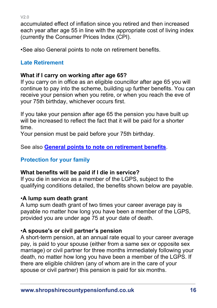$V20$ 

accumulated effect of inflation since you retired and then increased each year after age 55 in line with the appropriate cost of living index (currently the Consumer Prices Index (CPI).

•See also General points to note on retirement benefits.

# <span id="page-15-0"></span>**Late Retirement**

# **What if I carry on working after age 65?**

If you carry on in office as an eligible councillor after age 65 you will continue to pay into the scheme, building up further benefits. You can receive your pension when you retire, or when you reach the eve of your 75th birthday, whichever occurs first.

If you take your pension after age 65 the pension you have built up will be increased to reflect the fact that it will be paid for a shorter time.

Your pension must be paid before your 75th birthday.

See also **General points to note on retirement benefits**.

# <span id="page-15-1"></span>**Protection for your family**

## **What benefits will be paid if I die in service?**

If you die in service as a member of the LGPS, subject to the qualifying conditions detailed, the benefits shown below are payable.

# •**A lump sum death grant**

A lump sum death grant of two times your career average pay is payable no matter how long you have been a member of the LGPS, provided you are under age 75 at your date of death.

# •**A spouse's or civil partner's pension**

A short-term pension, at an annual rate equal to your career average pay, is paid to your spouse (either from a same sex or opposite sex marriage) or civil partner for three months immediately following your death, no matter how long you have been a member of the LGPS. If there are eligible children (any of whom are in the care of your spouse or civil partner) this pension is paid for six months.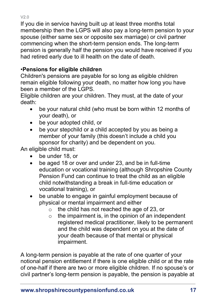If you die in service having built up at least three months total membership then the LGPS will also pay a long-term pension to your spouse (either same sex or opposite sex marriage) or civil partner commencing when the short-term pension ends. The long-term pension is generally half the pension you would have received if you had retired early due to ill health on the date of death.

# •**Pensions for eligible children**

Children's pensions are payable for so long as eligible children remain eligible following your death, no matter how long you have been a member of the LGPS.

Eligible children are your children. They must, at the date of your death:

- be your natural child (who must be born within 12 months of your death), or
- be your adopted child, or
- be your stepchild or a child accepted by you as being a member of your family (this doesn't include a child you sponsor for charity) and be dependent on you.

An eligible child must:

- be under 18, or
- be aged 18 or over and under 23, and be in full-time education or vocational training (although Shropshire County Pension Fund can continue to treat the child as an eligible child notwithstanding a break in full-time education or vocational training), or
- be unable to engage in gainful employment because of physical or mental impairment and either
	- o the child has not reached the age of 23, or
	- $\circ$  the impairment is, in the opinion of an independent registered medical practitioner, likely to be permanent and the child was dependent on you at the date of your death because of that mental or physical impairment.

A long-term pension is payable at the rate of one quarter of your notional pension entitlement if there is one eligible child or at the rate of one-half if there are two or more eligible children. If no spouse's or civil partner's long-term pension is payable, the pension is payable at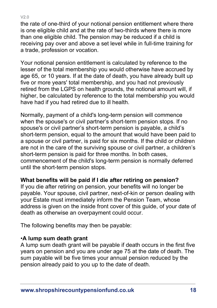the rate of one-third of your notional pension entitlement where there is one eligible child and at the rate of two-thirds where there is more than one eligible child. The pension may be reduced if a child is receiving pay over and above a set level while in full-time training for a trade, profession or vocation.

Your notional pension entitlement is calculated by reference to the lesser of the total membership you would otherwise have accrued by age 65, or 10 years. If at the date of death, you have already built up five or more years' total membership, and you had not previously retired from the LGPS on health grounds, the notional amount will, if higher, be calculated by reference to the total membership you would have had if you had retired due to ill health.

Normally, payment of a child's long-term pension will commence when the spouse's or civil partner's short-term pension stops. If no spouse's or civil partner's short-term pension is payable, a child's short-term pension, equal to the amount that would have been paid to a spouse or civil partner, is paid for six months. If the child or children are not in the care of the surviving spouse or civil partner, a children's short-term pension is paid for three months. In both cases, commencement of the child's long-term pension is normally deferred until the short-term pension stops.

## **What benefits will be paid if I die after retiring on pension?**

If you die after retiring on pension, your benefits will no longer be payable. Your spouse, civil partner, next-of-kin or person dealing with your Estate must immediately inform the Pension Team, whose address is given on the inside front cover of this guide, of your date of death as otherwise an overpayment could occur.

The following benefits may then be payable:

#### •**A lump sum death grant**

A lump sum death grant will be payable if death occurs in the first five years on pension and you are under age 75 at the date of death. The sum payable will be five times your annual pension reduced by the pension already paid to you up to the date of death.

#### V2.0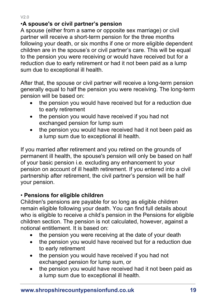## •**A spouse's or civil partner's pension**

A spouse (either from a same or opposite sex marriage) or civil partner will receive a short-term pension for the three months following your death, or six months if one or more eligible dependent children are in the spouse's or civil partner's care. This will be equal to the pension you were receiving or would have received but for a reduction due to early retirement or had it not been paid as a lump sum due to exceptional ill health.

After that, the spouse or civil partner will receive a long-term pension generally equal to half the pension you were receiving. The long-term pension will be based on:

- the pension you would have received but for a reduction due to early retirement
- the pension you would have received if you had not exchanged pension for lump sum
- the pension you would have received had it not been paid as a lump sum due to exceptional ill health.

If you married after retirement and you retired on the grounds of permanent ill health, the spouse's pension will only be based on half of your basic pension i.e. excluding any enhancement to your pension on account of ill health retirement. If you entered into a civil partnership after retirement, the civil partner's pension will be half your pension.

#### • **Pensions for eligible children**

Children's pensions are payable for so long as eligible children remain eligible following your death. You can find full details about who is eligible to receive a child's pension in the Pensions for eligible children section. The pension is not calculated, however, against a notional entitlement. It is based on:

- the pension you were receiving at the date of your death
- the pension you would have received but for a reduction due to early retirement
- the pension you would have received if you had not exchanged pension for lump sum, or
- the pension you would have received had it not been paid as a lump sum due to exceptional ill health.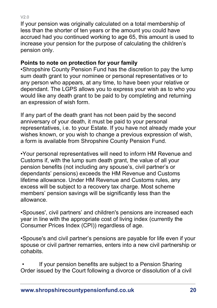If your pension was originally calculated on a total membership of less than the shorter of ten years or the amount you could have accrued had you continued working to age 65, this amount is used to increase your pension for the purpose of calculating the children's pension only.

## **Points to note on protection for your family**

•Shropshire County Pension Fund has the discretion to pay the lump sum death grant to your nominee or personal representatives or to any person who appears, at any time, to have been your relative or dependant. The LGPS allows you to express your wish as to who you would like any death grant to be paid to by completing and returning an expression of wish form.

If any part of the death grant has not been paid by the second anniversary of your death, it must be paid to your personal representatives, i.e. to your Estate. If you have not already made your wishes known, or you wish to change a previous expression of wish, a form is available from Shropshire County Pension Fund.

•Your personal representatives will need to inform HM Revenue and Customs if, with the lump sum death grant, the value of all your pension benefits (not including any spouse's, civil partner's or dependants' pensions) exceeds the HM Revenue and Customs lifetime allowance. Under HM Revenue and Customs rules, any excess will be subject to a recovery tax charge. Most scheme members' pension savings will be significantly less than the allowance.

•Spouses', civil partners' and children's pensions are increased each year in line with the appropriate cost of living index (currently the Consumer Prices Index (CPI)) regardless of age.

•Spouse's and civil partner's pensions are payable for life even if your spouse or civil partner remarries, enters into a new civil partnership or cohabits.

<span id="page-19-0"></span>If your pension benefits are subject to a Pension Sharing Order issued by the Court following a divorce or dissolution of a civil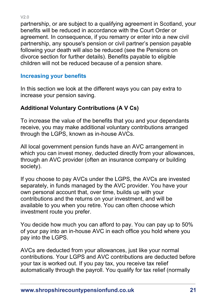partnership, or are subject to a qualifying agreement in Scotland, your benefits will be reduced in accordance with the Court Order or agreement. In consequence, if you remarry or enter into a new civil partnership, any spouse's pension or civil partner's pension payable following your death will also be reduced (see the Pensions on divorce section for further details). Benefits payable to eligible children will not be reduced because of a pension share.

#### **Increasing your benefits**

In this section we look at the different ways you can pay extra to increase your pension saving.

#### **Additional Voluntary Contributions (A V Cs)**

To increase the value of the benefits that you and your dependants receive, you may make additional voluntary contributions arranged through the LGPS, known as in-house AVCs.

All local government pension funds have an AVC arrangement in which you can invest money, deducted directly from your allowances, through an AVC provider (often an insurance company or building society).

If you choose to pay AVCs under the LGPS, the AVCs are invested separately, in funds managed by the AVC provider. You have your own personal account that, over time, builds up with your contributions and the returns on your investment, and will be available to you when you retire. You can often choose which investment route you prefer.

You decide how much you can afford to pay. You can pay up to 50% of your pay into an in-house AVC in each office you hold where you pay into the LGPS.

AVCs are deducted from your allowances, just like your normal contributions. Your LGPS and AVC contributions are deducted before your tax is worked out. If you pay tax, you receive tax relief automatically through the payroll. You qualify for tax relief (normally

 $V2.0$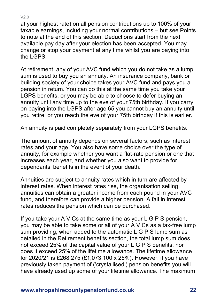at your highest rate) on all pension contributions up to 100% of your taxable earnings, including your normal contributions – but see Points to note at the end of this section. Deductions start from the next available pay day after your election has been accepted. You may change or stop your payment at any time whilst you are paying into the LGPS.

At retirement, any of your AVC fund which you do not take as a lump sum is used to buy you an annuity. An insurance company, bank or building society of your choice takes your AVC fund and pays you a pension in return. You can do this at the same time you take your LGPS benefits, or you may be able to choose to defer buying an annuity until any time up to the eve of your 75th birthday. If you carry on paying into the LGPS after age 65 you cannot buy an annuity until you retire, or you reach the eve of your 75th birthday if this is earlier.

An annuity is paid completely separately from your LGPS benefits.

The amount of annuity depends on several factors, such as interest rates and your age. You also have some choice over the type of annuity, for example whether you want a flat-rate pension or one that increases each year, and whether you also want to provide for dependants' benefits in the event of your death.

Annuities are subject to annuity rates which in turn are affected by interest rates. When interest rates rise, the organisation selling annuities can obtain a greater income from each pound in your AVC fund, and therefore can provide a higher pension. A fall in interest rates reduces the pension which can be purchased.

If you take your A V Cs at the same time as your L G P S pension, you may be able to take some or all of your A V Cs as a tax-free lump sum providing, when added to the automatic L G P S lump sum as detailed in the Retirement benefits section, the total lump sum does not exceed 25% of the capital value of your L G P S benefits, nor does it exceed 25% of the lifetime allowance. The lifetime allowance for 2020/21 is £268,275 (£1,073,100 x 25%). However, if you have previously taken payment of ('crystallised') pension benefits you will have already used up some of your lifetime allowance. The maximum

#### V2.0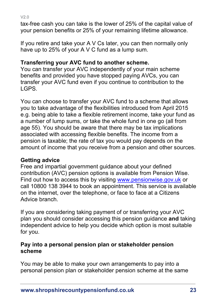tax-free cash you can take is the lower of 25% of the capital value of your pension benefits or 25% of your remaining lifetime allowance.

If you retire and take your A V Cs later, you can then normally only have up to 25% of your A V C fund as a lump sum.

## **Transferring your AVC fund to another scheme.**

You can transfer your AVC independently of your main scheme benefits and provided you have stopped paying AVCs, you can transfer your AVC fund even if you continue to contribution to the LGPS.

You can choose to transfer your AVC fund to a scheme that allows you to take advantage of the flexibilities introduced from April 2015 e.g. being able to take a flexible retirement income, take your fund as a number of lump sums, or take the whole fund in one go (all from age 55). You should be aware that there may be tax implications associated with accessing flexible benefits. The income from a pension is taxable; the rate of tax you would pay depends on the amount of income that you receive from a pension and other sources.

## **Getting advice**

Free and impartial government guidance about your defined contribution (AVC) pension options is available from Pension Wise. Find out how to access this by visiting [www.pensionwise.gov.uk](http://www.pensionwise.gov.uk/) or call 10800 138 3944 to book an appointment. This service is available on the internet, over the telephone, or face to face at a Citizens Advice branch.

If you are considering taking payment of or transferring your AVC plan you should consider accessing this pension guidance **and** taking independent advice to help you decide which option is most suitable for you.

#### **Pay into a personal pension plan or stakeholder pension scheme**

You may be able to make your own arrangements to pay into a personal pension plan or stakeholder pension scheme at the same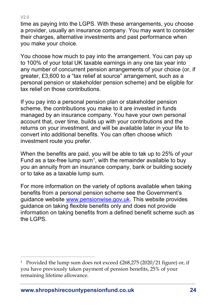time as paying into the LGPS. With these arrangements, you choose a provider, usually an insurance company. You may want to consider their charges, alternative investments and past performance when you make your choice.

You choose how much to pay into the arrangement. You can pay up to 100% of your total UK taxable earnings in any one tax year into any number of concurrent pension arrangements of your choice (or, if greater, £3,600 to a "tax relief at source" arrangement, such as a personal pension or stakeholder pension scheme) and be eligible for tax relief on those contributions.

If you pay into a personal pension plan or stakeholder pension scheme, the contributions you make to it are invested in funds managed by an insurance company. You have your own personal account that, over time, builds up with your contributions and the returns on your investment, and will be available later in your life to convert into additional benefits. You can often choose which investment route you prefer.

When the benefits are paid, you will be able to tak up to 25% of your Fund as a tax-free lump sum<sup>1</sup>, with the remainder available to buy you an annuity from an insurance company, bank or building society or to take as a taxable lump sum.

For more information on the variety of options available when taking benefits from a personal pension scheme see the Government's guidance website [www.pensionwise.gov.uk.](http://www.pensionwise.gov.uk/) This website provides guidance on taking flexible benefits only and does not provide information on taking benefits from a defined benefit scheme such as the LGPS.

<sup>1</sup> Provided the lump sum does not exceed £268,275 (2020/21 figure) or, if you have previously taken payment of pension benefits, 25% of your remaining lifetime allowance.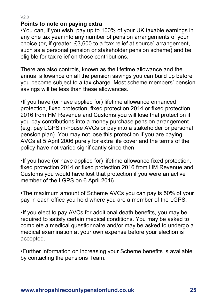$V20$ 

#### **Points to note on paying extra**

•You can, if you wish, pay up to 100% of your UK taxable earnings in any one tax year into any number of pension arrangements of your choice (or, if greater, £3,600 to a "tax relief at source" arrangement, such as a personal pension or stakeholder pension scheme) and be eligible for tax relief on those contributions.

There are also controls, known as the lifetime allowance and the annual allowance on all the pension savings you can build up before you become subject to a tax charge. Most scheme members' pension savings will be less than these allowances.

•If you have (or have applied for) lifetime allowance enhanced protection, fixed protection, fixed protection 2014 or fixed protection 2016 from HM Revenue and Customs you will lose that protection if you pay contributions into a money purchase pension arrangement (e.g. pay LGPS in-house AVCs or pay into a stakeholder or personal pension plan). You may not lose this protection if you are paying AVCs at 5 April 2006 purely for extra life cover and the terms of the policy have not varied significantly since then.

•If you have (or have applied for) lifetime allowance fixed protection, fixed protection 2014 or fixed protection 2016 from HM Revenue and Customs you would have lost that protection if you were an active member of the LGPS on 6 April 2016.

•The maximum amount of Scheme AVCs you can pay is 50% of your pay in each office you hold where you are a member of the LGPS.

•If you elect to pay AVCs for additional death benefits, you may be required to satisfy certain medical conditions. You may be asked to complete a medical questionnaire and/or may be asked to undergo a medical examination at your own expense before your election is accepted.

•Further information on increasing your Scheme benefits is available by contacting the pensions Team.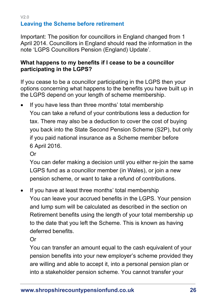#### <span id="page-25-0"></span>V2.0 **Leaving the Scheme before retirement**

Important: The position for councillors in England changed from 1 April 2014. Councillors in England should read the information in the note 'LGPS Councillors Pension (England) Update'.

#### **What happens to my benefits if I cease to be a councillor participating in the LGPS?**

If you cease to be a councillor participating in the LGPS then your options concerning what happens to the benefits you have built up in the LGPS depend on your length of scheme membership.

If you have less than three months' total membership You can take a refund of your contributions less a deduction for tax. There may also be a deduction to cover the cost of buying you back into the State Second Pension Scheme (S2P), but only if you paid national insurance as a Scheme member before 6 April 2016.

Or

You can defer making a decision until you either re-join the same LGPS fund as a councillor member (in Wales), or join a new pension scheme, or want to take a refund of contributions.

If you have at least three months' total membership You can leave your accrued benefits in the LGPS. Your pension and lump sum will be calculated as described in the section on [Retirement benefits](#page-7-0) using the length of your [total membership](#page-65-0) up to the date that you left the Scheme. This is known as having deferred benefits.

Or

You can transfer an amount equal to the cash equivalent of your pension benefits into your new employer's scheme provided they are willing and able to accept it, into a personal pension plan or into a stakeholder pension scheme. You cannot transfer your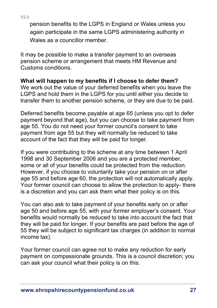pension benefits to the LGPS in England or Wales unless you again participate in the same LGPS administering authority in Wales as a councillor member.

It may be possible to make a transfer payment to an overseas pension scheme or arrangement that meets HM Revenue and Customs conditions.

## **What will happen to my benefits if I choose to defer them?**

We work out the value of your deferred benefits when you leave the LGPS and hold them in the LGPS for you until either you decide to transfer them to another pension scheme, or they are due to be paid.

Deferred benefits become payable at age 65 (unless you opt to defer payment beyond that age), but you can choose to take payment from age 55. You do not need your former council's consent to take payment from age 55 but they will normally be reduced to take account of the fact that they will be paid for longer.

If you were contributing to the scheme at any time between 1 April 1998 and 30 September 2006 and you are a protected member, some or all of your benefits could be protected from the reduction. However, if you choose to voluntarily take your pension on or after age 55 and before age 60, the protection will not automatically apply. Your former council can choose to allow the protection to apply- there is a discretion and you can ask them what their policy is on this.

You can also ask to take payment of your benefits early on or after age 50 and before age 55, with your former employer's consent. Your benefits would normally be reduced to take into account the fact that they will be paid for longer. If your benefits are paid before the age of 55 they will be subject to significant tax charges (in addition to normal income tax).

Your former council can agree not to make any reduction for early payment on compassionate grounds. This is a council discretion; you can ask your council what their policy is on this.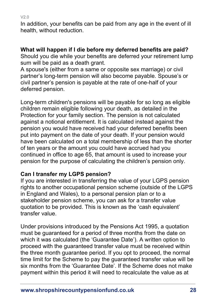In addition, your benefits can be paid from any age in the event of ill health, without reduction.

#### **What will happen if I die before my deferred benefits are paid?**

Should you die while your benefits are deferred your retirement lump sum will be paid as a death grant.

A spouse's (either from a same or opposite sex marriage) or civil partner's long-term pension will also become payable. Spouse's or civil partner's pension is payable at the rate of one-half of your deferred pension.

Long-term children's pensions will be payable for so long as eligible children remain eligible following your death, as detailed in the Protection for your family section. The pension is not calculated against a notional entitlement. It is calculated instead against the pension you would have received had your deferred benefits been put into payment on the date of your death. If your pension would have been calculated on a total membership of less than the shorter of ten years or the amount you could have accrued had you continued in office to age 65, that amount is used to increase your pension for the purpose of calculating the children's pension only.

## **Can I transfer my LGPS pension?**

If you are interested in transferring the value of your LGPS pension rights to another occupational pension scheme (outside of the LGPS in England and Wales), to a personal pension plan or to a stakeholder pension scheme, you can ask for a transfer value quotation to be provided. This is known as the 'cash equivalent' transfer value.

Under provisions introduced by the Pensions Act 1995, a quotation must be guaranteed for a period of three months from the date on which it was calculated (the 'Guarantee Date'). A written option to proceed with the guaranteed transfer value must be received within the three month guarantee period. If you opt to proceed, the normal time limit for the Scheme to pay the guaranteed transfer value will be six months from the 'Guarantee Date'. If the Scheme does not make payment within this period it will need to recalculate the value as at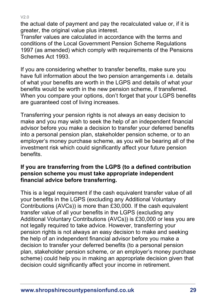the actual date of payment and pay the recalculated value or, if it is greater, the original value plus interest.

Transfer values are calculated in accordance with the terms and conditions of the Local Government Pension Scheme Regulations 1997 (as amended) which comply with requirements of the Pensions Schemes Act 1993.

If you are considering whether to transfer benefits, make sure you have full information about the two pension arrangements i.e. details of what your benefits are worth in the LGPS and details of what your benefits would be worth in the new pension scheme, if transferred. When you compare your options, don't forget that your LGPS benefits are guaranteed cost of living increases.

Transferring your pension rights is not always an easy decision to make and you may wish to seek the help of an independent financial advisor before you make a decision to transfer your deferred benefits into a personal pension plan, stakeholder pension scheme, or to an employer's money purchase scheme, as you will be bearing all of the investment risk which could significantly affect your future pension benefits.

#### **If you are transferring from the LGPS (to a defined contribution pension scheme you must take appropriate independent financial advice before transferring.**

This is a legal requirement if the cash equivalent transfer value of all your benefits in the LGPS (excluding any Additional Voluntary Contributions (AVCs)) is more than £30,000. If the cash equivalent transfer value of all your benefits in the LGPS (excluding any Additional Voluntary Contributions (AVCs)) is £30,000 or less you are not legally required to take advice. However, transferring your pension rights is not always an easy decision to make and seeking the help of an independent financial advisor before you make a decision to transfer your deferred benefits (to a personal pension plan, stakeholder pension scheme, or an employer's money purchase scheme) could help you in making an appropriate decision given that decision could significantly affect your income in retirement.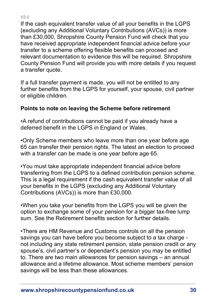If the cash equivalent transfer value of all your benefits in the LGPS (excluding any Additional Voluntary Contributions (AVCs)) is more than £30,000, Shropshire County Pension Fund will check that you have received appropriate independent financial advice before your transfer to a scheme offering flexible benefits can proceed and relevant documentation to evidence this will be required. Shropshire County Pension Fund will provide you with more details if you request a transfer quote.

If a full transfer payment is made, you will not be entitled to any further benefits from the LGPS for yourself, your spouse, civil partner or eligible children.

## **Points to note on leaving the Scheme before retirement**

•A refund of contributions cannot be paid if you already have a deferred benefit in the LGPS in England or Wales.

•Only Scheme members who leave more than one year before age 65 can transfer their pension rights. The latest an election to proceed with a transfer can be made is one year before age 65.

•You must take appropriate independent financial advice before transferring from the LGPS to a defined contribution pension scheme. This is a legal requirement if the cash equivalent transfer value of all your benefits in the LGPS (excluding any Additional Voluntary Contributions (AVCs)) is more than £30,000.

•When you take your benefits from the LGPS you will be given the option to exchange some of your pension for a bigger tax-free lump sum. See the Retirement benefits section for further details.

•There are HM Revenue and Customs controls on all the pension savings you can have before you become subject to a tax charge not including any state retirement pension, state pension credit or any spouse's, civil partner's or dependant's pension you may be entitled to. There are two main allowances for pension savings – an annual allowance and a lifetime allowance. Most scheme members' pension savings will be less than these allowances.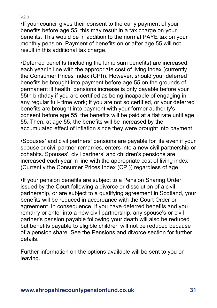•If your council gives their consent to the early payment of your benefits before age 55, this may result in a tax charge on your benefits. This would be in addition to the normal PAYE tax on your monthly pension. Payment of benefits on or after age 55 will not result in this additional tax charge.

•Deferred benefits (including the lump sum benefits) are increased each year in line with the appropriate cost of living index (currently the Consumer Prices Index (CPI)). However, should your deferred benefits be brought into payment before age 55 on the grounds of permanent ill health, pensions increase is only payable before your 55th birthday if you are certified as being incapable of engaging in any regular full- time work; if you are not so certified, or your deferred benefits are brought into payment with your former authority's consent before age 55, the benefits will be paid at a flat rate until age 55. Then, at age 55, the benefits will be increased by the accumulated effect of inflation since they were brought into payment.

•Spouses' and civil partners' pensions are payable for life even if your spouse or civil partner remarries, enters into a new civil partnership or cohabits. Spouses', civil partners' and children's pensions are increased each year in line with the appropriate cost of living index (Currently the Consumer Prices Index (CPI)) regardless of age.

•If your pension benefits are subject to a Pension Sharing Order issued by the Court following a divorce or dissolution of a civil partnership, or are subject to a qualifying agreement in Scotland, your benefits will be reduced in accordance with the Court Order or agreement. In consequence, if you have deferred benefits and you remarry or enter into a new civil partnership, any spouse's or civil partner's pension payable following your death will also be reduced but benefits payable to eligible children will not be reduced because of a pension share. See the Pensions and divorce section for further details.

Further information on the options available will be sent to you on leaving.

#### V2.0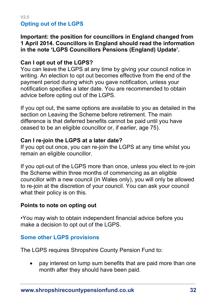#### <span id="page-31-0"></span> $V2.0$ **Opting out of the LGPS**

#### **Important: the position for councillors in England changed from 1 April 2014. Councillors in England should read the information in the note 'LGPS Councillors Pensions (England) Update'.**

#### **Can I opt out of the LGPS?**

You can leave the LGPS at any time by giving your council notice in writing. An election to opt out becomes effective from the end of the payment period during which you gave notification, unless your notification specifies a later date. You are recommended to obtain advice before opting out of the LGPS.

If you opt out, the same options are available to you as detailed in the section on Leaving the Scheme before retirement. The main difference is that deferred benefits cannot be paid until you have ceased to be an eligible councillor or, if earlier, age 75).

#### **Can I re-join the LGPS at a later date?**

If you opt out once, you can re-join the LGPS at any time whilst you remain an eligible councillor.

If you opt-out of the LGPS more than once, unless you elect to re-join the Scheme within three months of commencing as an eligible councillor with a new council (in Wales only), you will only be allowed to re-join at the discretion of your council. You can ask your council what their policy is on this.

#### **Points to note on opting out**

•You may wish to obtain independent financial advice before you make a decision to opt out of the LGPS.

#### <span id="page-31-1"></span>**Some other LGPS provisions**

The LGPS requires Shropshire County Pension Fund to:

• pay interest on lump sum benefits that are paid more than one month after they should have been paid.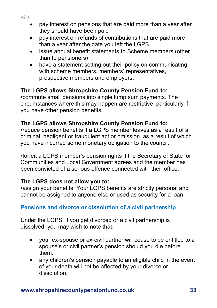- pay interest on pensions that are paid more than a year after they should have been paid
- pay interest on refunds of contributions that are paid more than a year after the date you left the LGPS
- issue annual benefit statements to Scheme members (other than to pensioners)
- have a statement setting out their policy on communicating with scheme members, members' representatives, prospective members and employers.

#### **The LGPS allows Shropshire County Pension Fund to:**

•commute small pensions into single lump sum payments. The circumstances where this may happen are restrictive, particularly if you have other pension benefits.

## **The LGPS allows Shropshire County Pension Fund to:**

•reduce pension benefits if a LGPS member leaves as a result of a criminal, negligent or fraudulent act or omission, as a result of which you have incurred some monetary obligation to the council.

•forfeit a LGPS member's pension rights if the Secretary of State for Communities and Local Government agrees and the member has been convicted of a serious offence connected with their office.

#### **The LGPS does not allow you to:**

•assign your benefits. Your LGPS benefits are strictly personal and cannot be assigned to anyone else or used as security for a loan.

#### <span id="page-32-0"></span>**Pensions and divorce or dissolution of a civil partnership**

Under the LGPS, if you get divorced or a civil partnership is dissolved, you may wish to note that:

- your ex-spouse or ex-civil partner will cease to be entitled to a spouse's or civil partner's pension should you die before them.
- any children's pension payable to an eligible child in the event of your death will not be affected by your divorce or dissolution.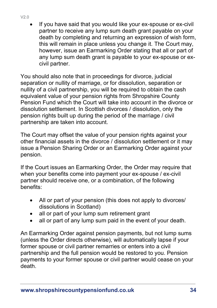If you have said that you would like your ex-spouse or ex-civil partner to receive any lump sum death grant payable on your death by completing and returning an expression of wish form, this will remain in place unless you change it. The Court may, however, issue an Earmarking Order stating that all or part of any lump sum death grant is payable to your ex-spouse or excivil partner.

You should also note that in proceedings for divorce, judicial separation or nullity of marriage, or for dissolution, separation or nullity of a civil partnership, you will be required to obtain the cash equivalent value of your pension rights from Shropshire County Pension Fund which the Court will take into account in the divorce or dissolution settlement. In Scottish divorces / dissolution, only the pension rights built up during the period of the marriage / civil partnership are taken into account.

The Court may offset the value of your pension rights against your other financial assets in the divorce / dissolution settlement or it may issue a Pension Sharing Order or an Earmarking Order against your pension.

If the Court issues an Earmarking Order, the Order may require that when your benefits come into payment your ex-spouse / ex-civil partner should receive one, or a combination, of the following benefits:

- All or part of your pension (this does not apply to divorces/ dissolutions in Scotland)
- all or part of your lump sum retirement grant
- all or part of any lump sum paid in the event of your death.

An Earmarking Order against pension payments, but not lump sums (unless the Order directs otherwise), will automatically lapse if your former spouse or civil partner remarries or enters into a civil partnership and the full pension would be restored to you. Pension payments to your former spouse or civil partner would cease on your death.

#### V2.0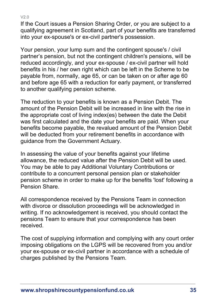$V20$ 

If the Court issues a Pension Sharing Order, or you are subject to a qualifying agreement in Scotland, part of your benefits are transferred into your ex-spouse's or ex-civil partner's possession.

Your pension, your lump sum and the contingent spouse's / civil partner's pension, but not the contingent children's pensions, will be reduced accordingly, and your ex-spouse / ex-civil partner will hold benefits in his / her own right which can be left in the Scheme to be payable from, normally, age 65, or can be taken on or after age 60 and before age 65 with a reduction for early payment, or transferred to another qualifying pension scheme.

The reduction to your benefits is known as a Pension Debit. The amount of the Pension Debit will be increased in line with the rise in the appropriate cost of living index(es) between the date the Debit was first calculated and the date your benefits are paid. When your benefits become payable, the revalued amount of the Pension Debit will be deducted from your retirement benefits in accordance with guidance from the Government Actuary.

In assessing the value of your benefits against your lifetime allowance, the reduced value after the Pension Debit will be used. You may be able to pay Additional Voluntary Contributions or contribute to a concurrent personal pension plan or stakeholder pension scheme in order to make up for the benefits 'lost' following a Pension Share.

All correspondence received by the Pensions Team in connection with divorce or dissolution proceedings will be acknowledged in writing. If no acknowledgement is received, you should contact the pensions Team to ensure that your correspondence has been received.

The cost of supplying information and complying with any court order imposing obligations on the LGPS will be recovered from you and/or your ex-spouse or ex-civil partner in accordance with a schedule of charges published by the Pensions Team.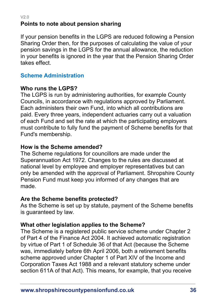#### $V20$ **Points to note about pension sharing**

If your pension benefits in the LGPS are reduced following a Pension Sharing Order then, for the purposes of calculating the value of your pension savings in the LGPS for the annual allowance, the reduction in your benefits is ignored in the year that the Pension Sharing Order takes effect.

#### <span id="page-35-0"></span>**Scheme Administration**

#### **Who runs the LGPS?**

The LGPS is run by administering authorities, for example County Councils, in accordance with regulations approved by Parliament. Each administers their own Fund, into which all contributions are paid. Every three years, independent actuaries carry out a valuation of each Fund and set the rate at which the participating employers must contribute to fully fund the payment of Scheme benefits for that Fund's membership.

#### **How is the Scheme amended?**

The Scheme regulations for councillors are made under the Superannuation Act 1972. Changes to the rules are discussed at national level by employee and employer representatives but can only be amended with the approval of Parliament. Shropshire County Pension Fund must keep you informed of any changes that are made.

#### **Are the Scheme benefits protected?**

As the Scheme is set up by statute, payment of the Scheme benefits is guaranteed by law.

#### **What other legislation applies to the Scheme?**

The Scheme is a registered public service scheme under Chapter 2 of Part 4 of the Finance Act 2004. It achieved automatic registration by virtue of Part 1 of Schedule 36 of that Act (because the Scheme was, immediately before 6th April 2006, both a retirement benefits scheme approved under Chapter 1 of Part XIV of the Income and Corporation Taxes Act 1988 and a relevant statutory scheme under section 611A of that Act). This means, for example, that you receive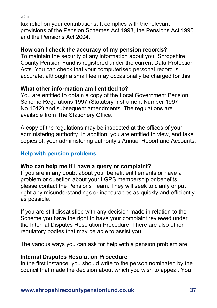$V20$ 

tax relief on your contributions. It complies with the relevant provisions of the Pension Schemes Act 1993, the Pensions Act 1995 and the Pensions Act 2004.

## **How can I check the accuracy of my pension records?**

To maintain the security of any information about you, Shropshire County Pension Fund is registered under the current Data Protection Acts. You can check that your computerised personal record is accurate, although a small fee may occasionally be charged for this.

## **What other information am I entitled to?**

You are entitled to obtain a copy of the Local Government Pension Scheme Regulations 1997 (Statutory Instrument Number 1997 No.1612) and subsequent amendments. The regulations are available from The Stationery Office.

A copy of the regulations may be inspected at the offices of your administering authority. In addition, you are entitled to view, and take copies of, your administering authority's Annual Report and Accounts.

# <span id="page-36-0"></span>**Help with pension problems**

# **Who can help me if I have a query or complaint?**

If you are in any doubt about your benefit entitlements or have a problem or question about your LGPS membership or benefits, please contact the Pensions Team. They will seek to clarify or put right any misunderstandings or inaccuracies as quickly and efficiently as possible.

If you are still dissatisfied with any decision made in relation to the Scheme you have the right to have your complaint reviewed under the Internal Disputes Resolution Procedure. There are also other regulatory bodies that may be able to assist you.

The various ways you can ask for help with a pension problem are:

## **Internal Disputes Resolution Procedure**

In the first instance, you should write to the person nominated by the council that made the decision about which you wish to appeal. You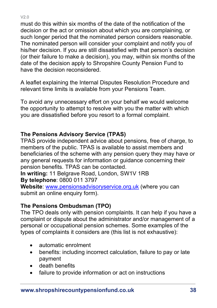$V20$ 

must do this within six months of the date of the notification of the decision or the act or omission about which you are complaining, or such longer period that the nominated person considers reasonable. The nominated person will consider your complaint and notify you of his/her decision. If you are still dissatisfied with that person's decision (or their failure to make a decision), you may, within six months of the date of the decision apply to Shropshire County Pension Fund to have the decision reconsidered.

A leaflet explaining the Internal Disputes Resolution Procedure and relevant time limits is available from your Pensions Team.

To avoid any unnecessary effort on your behalf we would welcome the opportunity to attempt to resolve with you the matter with which you are dissatisfied before you resort to a formal complaint.

#### **The Pensions Advisory Service (TPAS)**

TPAS provide independent advice about pensions, free of charge, to members of the public. TPAS is available to assist members and beneficiaries of the scheme with any pension query they may have or any general requests for information or guidance concerning their pension benefits. TPAS can be contacted.

**In writing:** 11 Belgrave Road, London, SW1V 1RB **By telephone**: 0800 011 3797

**Website**: [www.pensionsadvisoryservice.org.uk](http://www.pensionsadvisoryservice.org.uk/) (where you can submit an online enquiry form).

#### **The Pensions Ombudsman (TPO)**

The TPO deals only with pension complaints. It can help if you have a complaint or dispute about the administrator and/or management of a personal or occupational pension schemes. Some examples of the types of complaints it considers are (this list is not exhaustive):

- automatic enrolment
- benefits: including incorrect calculation, failure to pay or late payment
- death benefits
- failure to provide information or act on instructions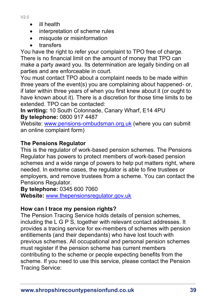- ill health
- interpretation of scheme rules
- misquote or misinformation
- transfers

You have the right to refer your complaint to TPO free of charge. There is no financial limit on the amount of money that TPO can make a party award you. Its determination are legally binding on all parties and are enforceable in court.

You must contact TPO about a complaint needs to be made within three years of the event(s) you are complaining about happened- or, if later within three years of when you first knew about it (or ought to have known about it). There is a discretion for those time limits to be extended. TPO can be contacted:

**In writing:** 10 South Colonnade, Canary Wharf, E14 4PU **By telephone:** 0800 917 4487

Website: [www.pensions-ombudsman.org.uk](http://www.pensions-ombudsman.org.uk/) (where you can submit an online complaint form)

# **The Pensions Regulator**

This is the regulator of work-based pension schemes. The Pensions Regulator has powers to protect members of work-based pension schemes and a wide range of powers to help put matters right, where needed. In extreme cases, the regulator is able to fine trustees or employers, and remove trustees from a scheme. You can contact the Pensions Regulator.

**By telephone:** 0345 600 7060 **Website:** [www.thepensionsregulator.gov.uk](http://www.thepensionsregulator.gov.uk/)

## **How can I trace my pension rights?**

The Pension Tracing Service holds details of pension schemes, including the L G P S, together with relevant contact addresses. It provides a tracing service for ex-members of schemes with pension entitlements (and their dependants) who have lost touch with previous schemes. All occupational and personal pension schemes must register if the pension scheme has current members contributing to the scheme or people expecting benefits from the scheme. If you need to use this service, please contact the Pension Tracing Service: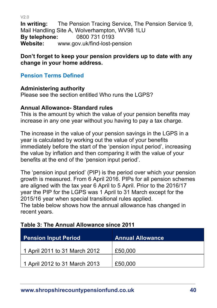**In writing:** The Pension Tracing Service, The Pension Service 9, Mail Handling Site A, Wolverhampton, WV98 1LU **By telephone:** 0800 731 0193<br>Website: www.gov.uk/find-lost-p **Website:** www.gov.uk/find-lost-pension

#### **Don't forget to keep your pension providers up to date with any change in your home address.**

## <span id="page-39-0"></span>**Pension Terms Defined**

V2.0

## **Administering authority**

Please see the section entitled Who runs the LGPS?

#### **Annual Allowance- Standard rules**

This is the amount by which the value of your pension benefits may increase in any one year without you having to pay a tax charge.

The increase in the value of your pension savings in the LGPS in a year is calculated by working out the value of your benefits immediately before the start of the 'pension input period', increasing the value by inflation and then comparing it with the value of your benefits at the end of the 'pension input period'.

The 'pension input period' (PIP) is the period over which your pension growth is measured. From 6 April 2016. PIPs for all pension schemes are aligned with the tax year 6 April to 5 April. Prior to the 2016/17 year the PIP for the LGPS was 1 April to 31 March except for the 2015/16 year when special transitional rules applied.

The table below shows how the annual allowance has changed in recent years.

## **Table 3: The Annual Allowance since 2011**

| <b>Pension Input Period</b>   | <b>Annual Allowance</b> |
|-------------------------------|-------------------------|
| 1 April 2011 to 31 March 2012 | £50,000                 |
| 1 April 2012 to 31 March 2013 | £50,000                 |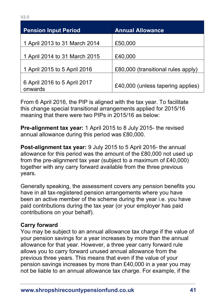| <b>Pension Input Period</b>             | <b>Annual Allowance</b>            |
|-----------------------------------------|------------------------------------|
| 1 April 2013 to 31 March 2014           | £50,000                            |
| 1 April 2014 to 31 March 2015           | £40,000                            |
| 1 April 2015 to 5 April 2016            | £80,000 (transitional rules apply) |
| 6 April 2016 to 5 April 2017<br>onwards | £40,000 (unless tapering applies)  |

From 6 April 2016, the PIP is aligned with the tax year. To facilitate this change special transitional arrangements applied for 2015/16 meaning that there were two PIPs in 2015/16 as below:

**Pre-alignment tax year:** 1 April 2015 to 8 July 2015- the revised annual allowance during this period was £80,000.

**Post-alignment tax year:** 9 July 2015 to 5 April 2016- the annual allowance for this period was the amount of the £80,000 not used up from the pre-alignment tax year (subject to a maximum of £40,000) together with any carry forward available from the three previous years.

Generally speaking, the assessment covers any pension benefits you have in all tax-registered pension arrangements where you have been an active member of the scheme during the year i.e. you have paid contributions during the tax year (or your employer has paid contributions on your behalf).

#### **Carry forward**

You may be subject to an annual allowance tax charge if the value of your pension savings for a year increases by more than the annual allowance for that year. However, a three year carry forward rule allows you to carry forward unused annual allowance from the previous three years. This means that even if the value of your pension savings increases by more than £40,000 in a year you may not be liable to an annual allowance tax charge. For example, if the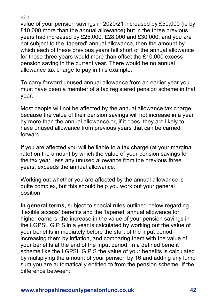value of your pension savings in 2020/21 increased by £50,000 (ie by £10,000 more than the annual allowance) but in the three previous years had increased by £25,000, £28,000 and £30,000, and you are not subject to the 'tapered' annual allowance, then the amount by which each of these previous years fell short of the annual allowance for those three years would more than offset the £10,000 excess pension saving in the current year. There would be no annual allowance tax charge to pay in this example.

To carry forward unused annual allowance from an earlier year you must have been a member of a tax registered pension scheme in that year.

Most people will not be affected by the annual allowance tax charge because the value of their pension savings will not increase in a year by more than the annual allowance or, if it does, they are likely to have unused allowance from previous years that can be carried forward.

If you are affected you will be liable to a tax charge (at your marginal rate) on the amount by which the value of your pension savings for the tax year, less any unused allowance from the previous three years, exceeds the annual allowance.

Working out whether you are affected by the annual allowance is quite complex, but this should help you work out your general position.

**In general terms,** subject to special rules outlined below regarding 'flexible access' benefits and the 'tapered' annual allowance for higher earners, the increase in the value of your pension savings in the LGPSL G P S in a year is calculated by working out the value of your benefits immediately before the start of the input period, increasing them by inflation, and comparing them with the value of your benefits at the end of the input period. In a defined benefit scheme like the LGPSL G P S the value of your benefits is calculated by multiplying the amount of your pension by 16 and adding any lump sum you are automatically entitled to from the pension scheme. If the difference between: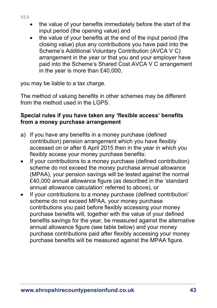- the value of your benefits immediately before the start of the input period (the opening value) and
- the value of your benefits at the end of the input period (the closing value) plus any contributions you have paid into the Scheme's Additional Voluntary Contribution (AVCA V C) arrangement in the year or that you and your employer have paid into the Scheme's Shared Cost AVCA V C arrangement in the year is more than £40,000,

you may be liable to a tax charge.

The method of valuing benefits in other schemes may be different from the method used in the LGPS

#### **Special rules if you have taken any 'flexible access' benefits from a money purchase arrangement**

- a) If you have any benefits in a money purchase (defined contribution) pension arrangement which you have flexibly accessed on or after 6 April 2015 then in the year in which you flexibly access your money purchase benefits:
- If your contributions to a money purchase (defined contribution) scheme do not exceed the money purchase annual allowance (MPAA), your pension savings will be tested against the normal £40,000 annual allowance figure (as described in the 'standard annual allowance calculation' referred to above), or
- If your contributions to a money purchase (defined contribution' scheme do not exceed MPAA, your money purchase contributions you paid before flexibly accessing your money purchase benefits will, together with the value of your defined benefits savings for the year, be measured against the alternative annual allowance figure (see table below) and your money purchase contributions paid after flexibly accessing your money purchase benefits will be measured against the MPAA figure.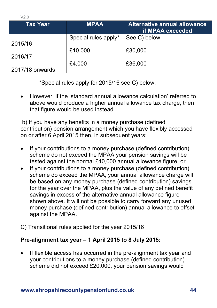$V20$ 

| Tax Year        | <b>MPAA</b>          | Alternative annual allowance<br>if MPAA exceeded |
|-----------------|----------------------|--------------------------------------------------|
|                 | Special rules apply* | See C) below                                     |
| 2015/16         |                      |                                                  |
|                 | £10,000              | £30,000                                          |
| 2016/17         |                      |                                                  |
|                 | £4,000               | £36,000                                          |
| 2017/18 onwards |                      |                                                  |

\*Special rules apply for 2015/16 see C) below.

• However, if the 'standard annual allowance calculation' referred to above would produce a higher annual allowance tax charge, then that figure would be used instead.

b) If you have any benefits in a money purchase (defined contribution) pension arrangement which you have flexibly accessed on or after 6 April 2015 then, in subsequent years:

- If your contributions to a money purchase (defined contribution) scheme do not exceed the MPAA your pension savings will be tested against the normal £40,000 annual allowance figure, or
- If your contributions to a money purchase (defined contribution) scheme do exceed the MPAA, your annual allowance charge will be based on any money purchase (defined contribution) savings for the year over the MPAA, plus the value of any defined benefit savings in excess of the alternative annual allowance figure shown above. It will not be possible to carry forward any unused money purchase (defined contribution) annual allowance to offset against the MPAA.
- C) Transitional rules applied for the year 2015/16

## **Pre-alignment tax year – 1 April 2015 to 8 July 2015:**

If flexible access has occurred in the pre-alignment tax year and your contributions to a money purchase (defined contribution) scheme did not exceed £20,000, your pension savings would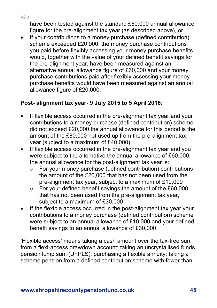have been tested against the standard £80,000 annual allowance figure for the pre-alignment tax year (as described above), or

If your contributions to a money purchase (defined contribution) scheme exceeded £20,000, the money purchase contributions you paid before flexibly accessing your money purchase benefits would, together with the value of your defined benefit savings for the pre-alignment year, have been measured against an alternative annual allowance figure of £60,000 and your money purchase contributions paid after flexibly accessing your money purchase benefits would have been measured against an annual allowance figure of £20,000.

## **Post- alignment tax year- 9 July 2015 to 5 April 2016:**

- If flexible access occurred in the pre-alignment tax year and your contributions to a money purchase (defined contribution) scheme did not exceed £20,000 the annual allowance for this period is the amount of the £80,000 not used up from the pre-alignment tax year (subject to a maximum of £40,000).
- If flexible access occurred in the pre-alignment tax year and you were subject to the alternative the annual allowance of £60,000, the annual allowance for the post-alignment tax year is:
	- o For your money purchase (defined contribution) contributionsthe amount of the £20,000 that has not been used from the pre-alignment tax year, subject to a maximum of £10,000
	- $\circ$  For your defined benefit savings the amount of the £60,000 that has not been used from the pre-alignment tax year, subject to a maximum of £30,000
- If the flexible access occurred in the post-alignment tax year your contributions to a money purchase (defined contribution) scheme were subject to an annual allowance of £10,000 and your defined benefit savings to an annual allowance of £30,000.

'Flexible access' means taking a cash amount over the tax-free sum from a flexi-access drawdown account; taking an uncrystallised funds pension lump sum (UFPLS); purchasing a flexible annuity; taking a scheme pension from a defined contribution scheme with fewer than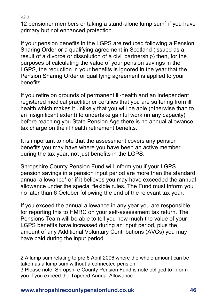12 pensioner members or taking a stand-alone lump sum<sup>2</sup> if you have primary but not enhanced protection.

If your pension benefits in the LGPS are reduced following a Pension Sharing Order or a qualifying agreement in Scotland (issued as a result of a divorce or dissolution of a civil partnership) then, for the purposes of calculating the value of your pension savings in the LGPS, the reduction in your benefits is ignored in the year that the Pension Sharing Order or qualifying agreement is applied to your benefits.

If you retire on grounds of permanent ill-health and an independent registered medical practitioner certifies that you are suffering from ill health which makes it unlikely that you will be able (otherwise than to an insignificant extent) to undertake gainful work (in any capacity) before reaching you State Pension Age there is no annual allowance tax charge on the ill health retirement benefits.

It is important to note that the assessment covers any pension benefits you may have where you have been an active member during the tax year, not just benefits in the LGPS.

Shropshire County Pension Fund will inform you if your LGPS pension savings in a pension input period are more than the standard annual allowance<sup>3</sup> or if it believes you may have exceeded the annual allowance under the special flexible rules. The Fund must inform you no later than 6 October following the end of the relevant tax year.

If you exceed the annual allowance in any year you are responsible for reporting this to HMRC on your self-assessment tax return. The Pensions Team will be able to tell you how much the value of your LGPS benefits have increased during an input period, plus the amount of any Additional Voluntary Contributions (AVCs) you may have paid during the input period.

2 A lump sum relating to pre 6 April 2006 where the whole amount can be taken as a lump sum without a connected pension.

<sup>3</sup> Please note, Shropshire County Pension Fund is note obliged to inform you if you exceed the Tapered Annual Allowance.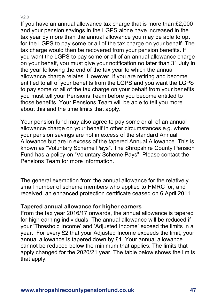If you have an annual allowance tax charge that is more than £2,000 and your pension savings in the LGPS alone have increased in the tax year by more than the annual allowance you may be able to opt for the LGPS to pay some or all of the tax charge on your behalf. The tax charge would then be recovered from your pension benefits. If you want the LGPS to pay some or all of an annual allowance charge on your behalf, you must give your notification no later than 31 July in the year following the end of the tax year to which the annual allowance charge relates. However, if you are retiring and become entitled to all of your benefits from the LGPS and you want the LGPS to pay some or all of the tax charge on your behalf from your benefits, you must tell your Pensions Team before you become entitled to those benefits. Your Pensions Team will be able to tell you more about this and the time limits that apply.

Your pension fund may also agree to pay some or all of an annual allowance charge on your behalf in other circumstances e.g. where your pension savings are not in excess of the standard Annual Allowance but are in excess of the tapered Annual Allowance. This is known as "Voluntary Scheme Pays". The Shropshire County Pension Fund has a policy on "Voluntary Scheme Pays". Please contact the Pensions Team for more information.

The general exemption from the annual allowance for the relatively small number of scheme members who applied to HMRC for, and received, an enhanced protection certificate ceased on 6 April 2011.

#### **Tapered annual allowance for higher earners**

From the tax year 2016/17 onwards, the annual allowance is tapered for high earning individuals. The annual allowance will be reduced if your 'Threshold Income' and 'Adjusted Income' exceed the limits in a year. For every £2 that your Adjusted Income exceeds the limit, your annual allowance is tapered down by £1. Your annual allowance cannot be reduced below the minimum that applies. The limits that apply changed for the 2020/21 year. The table below shows the limits that apply.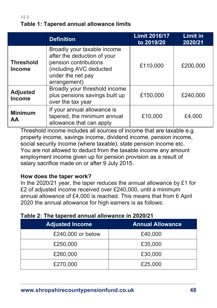## **Table 1: Tapered annual allowance limits**

|                                   | <b>Definition</b>                                                                                                                                   | <b>Limit 2016/17</b><br>to 2019/20 | <b>Limit in</b><br>2020/21 |
|-----------------------------------|-----------------------------------------------------------------------------------------------------------------------------------------------------|------------------------------------|----------------------------|
| <b>Threshold</b><br><b>Income</b> | Broadly your taxable income<br>after the deduction of your<br>pension contributions<br>(including AVC deducted<br>under the net pay<br>arrangement) | £110,000                           | £200,000                   |
| <b>Adjusted</b><br><b>Income</b>  | Broadly your threshold income<br>plus pensions savings built up<br>over the tax year                                                                | £150,000                           | £240,000                   |
| <b>Minimum</b><br><b>AA</b>       | If your annual allowance is<br>tapered, the minimum annual<br>allowance that can apply                                                              | £10,000                            | £4,000                     |

Threshold income includes all sources of income that are taxable e.g. property income, savings income, dividend income, pension income, social security income (where taxable), state pension income etc. You are not allowed to deduct from the taxable income any amount employment income given up for pension provision as a result of salary sacrifice made on or after 9 July 2015.

#### **How does the taper work?**

In the 2020/21 year, the taper reduces the annual allowance by £1 for £2 of adjusted income received over £240,000, until a minimum annual allowance of £4,000 is reached. This means that from 6 April 2020 the annual allowance for high earners is as follows:

| <b>Adjusted Income</b> | <b>Annual Allowance</b> |
|------------------------|-------------------------|
| £240,000 or below      | £40,000                 |
| £250,000               | £35,000                 |
| £260,000               | £30,000                 |
| £270,000               | £25,000                 |

#### **Table 2: The tapered annual allowance in 2020/21**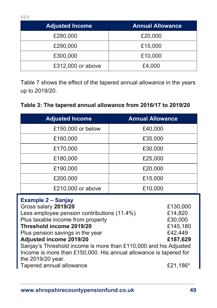| <b>Adjusted Income</b> | <b>Annual Allowance</b> |
|------------------------|-------------------------|
| £280,000               | £20,000                 |
| £290,000               | £15,000                 |
| £300,000               | £10,000                 |
| £312,000 or above      | £4,000                  |

Table 7 shows the effect of the tapered annual allowance in the years up to 2019/20.

| <b>Adjusted Income</b>                                                                                                                                                                                                                                                                                                                                                                                                                                              | <b>Annual Allowance</b> |
|---------------------------------------------------------------------------------------------------------------------------------------------------------------------------------------------------------------------------------------------------------------------------------------------------------------------------------------------------------------------------------------------------------------------------------------------------------------------|-------------------------|
| £150,000 or below                                                                                                                                                                                                                                                                                                                                                                                                                                                   | £40,000                 |
| £160,000                                                                                                                                                                                                                                                                                                                                                                                                                                                            | £35,000                 |
| £170,000                                                                                                                                                                                                                                                                                                                                                                                                                                                            | £30,000                 |
| £180,000                                                                                                                                                                                                                                                                                                                                                                                                                                                            | £25,000                 |
| £190,000                                                                                                                                                                                                                                                                                                                                                                                                                                                            | £20,000                 |
| £200,000                                                                                                                                                                                                                                                                                                                                                                                                                                                            | £15,000                 |
| £210,000 or above                                                                                                                                                                                                                                                                                                                                                                                                                                                   | £10,000                 |
| <b>Example 2 – Sanjay</b><br>Gross salary 2019/20<br>£130,000<br>Less employee pension contributions (11.4%)<br>£14,820<br>Plus taxable income from property<br>£30,000<br>Threshold income 2019/20<br>£145,180<br>Plus pension savings in the year<br>£42,449<br>Adjusted income 2019/20<br>£187,629<br>Sanjay's Threshold income is more than £110,000 and his Adjusted<br>Income is more than £150,000. His annual allowance is tapered for<br>the 2019/20 year. |                         |

Tapered annual allowance **E21,186**\*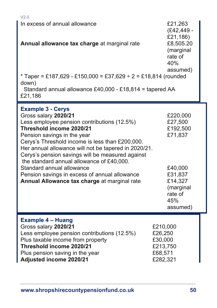| V2.0<br>In excess of annual allowance<br>Annual allowance tax charge at marginal rate                                                                                                                                                                                                                                                                                                                                                                                                                | £21,263<br>$(E42, 449 -$<br>£21,186)<br>£8,505.20<br>(marginal<br>rate of<br>40%<br>assumed)                           |
|------------------------------------------------------------------------------------------------------------------------------------------------------------------------------------------------------------------------------------------------------------------------------------------------------------------------------------------------------------------------------------------------------------------------------------------------------------------------------------------------------|------------------------------------------------------------------------------------------------------------------------|
| * Taper = £187,629 - £150,000 = £37,629 ÷ 2 = £18,814 (rounded<br>down)<br>Standard annual allowance £40,000 - £18,814 = tapered AA<br>£21,186                                                                                                                                                                                                                                                                                                                                                       |                                                                                                                        |
| <b>Example 3 - Cerys</b><br>Gross salary 2020/21<br>Less employee pension contributions (12.5%)<br>Threshold income 2020/21<br>Pension savings in the year<br>Cerys's Threshold income is less than £200,000.<br>Her annual allowance will not be tapered in 2020/21.<br>Cerys's pension savings will be measured against<br>the standard annual allowance of £40,000.<br>Standard annual allowance<br>Pension savings in excess of annual allowance<br>Annual Allowance tax charge at marginal rate | £220,000<br>£27,500<br>£192,500<br>£71,837<br>£40,000<br>£31,837<br>£14,327<br>(marginal<br>rate of<br>45%<br>assumed) |
| <b>Example 4 - Huang</b><br>Gross salary 2020/21<br>Less employee pension contributions (12.5%)<br>Plus taxable income from property                                                                                                                                                                                                                                                                                                                                                                 | £210,000<br>£26,250<br>£30,000                                                                                         |

**Threshold income 2020/21 E213,750**<br>Plus pension saving in the year **E68,571** 

Plus pension saving in the year <br> **Adjusted income 2020/21** 12882,321 Adjusted income 2020/21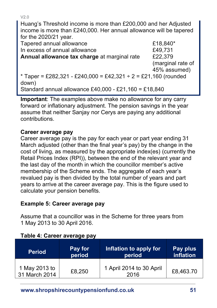Huang's Threshold income is more than £200,000 and her Adjusted income is more than £240,000. Her annual allowance will be tapered for the 2020/21 year.

Tapered annual allowance **E18,840\*** In excess of annual allowance £49,731 **Annual allowance tax charge** at marginal rate £22,379 (marginal rate of 45% assumed)  $*$  Taper = £282,321 - £240,000 = £42,321 ÷ 2 = £21,160 (rounded down) Standard annual allowance £40,000 - £21,160 = £18,840

**Important**: The examples above make no allowance for any carry forward or inflationary adjustment. The pension savings in the year assume that neither Sanjay nor Cerys are paying any additional contributions.

#### **Career average pay**

Career average pay is the pay for each year or part year ending 31 March adjusted (other than the final year's pay) by the change in the cost of living, as measured by the appropriate index(es) (currently the Retail Prices Index (RPI)), between the end of the relevant year and the last day of the month in which the councillor member's active membership of the Scheme ends. The aggregate of each year's revalued pay is then divided by the total number of years and part years to arrive at the career average pay. This is the figure used to calculate your pension benefits.

## **Example 5: Career average pay**

Assume that a councillor was in the Scheme for three years from 1 May 2013 to 30 April 2016.

| <b>Period</b>                  | Pay for | Inflation to apply for           | Pay plus  |
|--------------------------------|---------|----------------------------------|-----------|
|                                | period  | period                           | inflation |
| 1 May 2013 to<br>31 March 2014 | £8,250  | 1 April 2014 to 30 April<br>2016 | £8,463.70 |

#### **Table 4: Career average pay**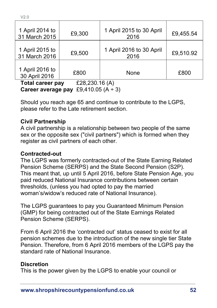| £9,300 | 1 April 2015 to 30 April<br>2016 | £9,455.54 |
|--------|----------------------------------|-----------|
| £9,500 | 1 April 2016 to 30 April<br>2016 | £9,510.92 |
| £800   | None                             | £800      |
|        |                                  |           |

**Total career pay** £28,230.16 (A) **Career average pay** £9,410.05 (A ÷ 3)

Should you reach age 65 and continue to contribute to the LGPS, please refer to the Late retirement section.

#### **Civil Partnership**

A civil partnership is a relationship between two people of the same sex or the opposite sex ("civil partners") which is formed when they register as civil partners of each other.

#### **Contracted-out**

The LGPS was formerly contracted-out of the State Earning Related Pension Scheme (SERPS) and the State Second Pension (S2P). This meant that, up until 5 April 2016, before State Pension Age, you paid reduced National Insurance contributions between certain thresholds, (unless you had opted to pay the married woman's/widow's reduced rate of National Insurance).

The LGPS guarantees to pay you Guaranteed Minimum Pension (GMP) for being contracted out of the State Earnings Related Pension Scheme (SERPS).

From 6 April 2016 the 'contracted out' status ceased to exist for all pension schemes due to the introduction of the new single tier State Pension. Therefore, from 6 April 2016 members of the LGPS pay the standard rate of National Insurance.

#### **Discretion**

This is the power given by the LGPS to enable your council or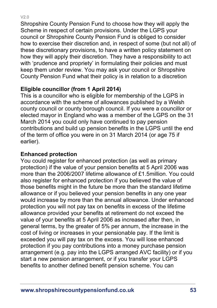Shropshire County Pension Fund to choose how they will apply the Scheme in respect of certain provisions. Under the LGPS your council or Shropshire County Pension Fund is obliged to consider how to exercise their discretion and, in respect of some (but not all) of these discretionary provisions, to have a written policy statement on how they will apply their discretion. They have a responsibility to act with 'prudence and propriety' in formulating their policies and must keep them under review. You may ask your council or Shropshire County Pension Fund what their policy is in relation to a discretion

## **Eligible councillor (from 1 April 2014)**

This is a councillor who is eligible for membership of the LGPS in accordance with the scheme of allowances published by a Welsh county council or county borough council. If you were a councillor or elected mayor in England who was a member of the LGPS on the 31 March 2014 you could only have continued to pay pension contributions and build up pension benefits in the LGPS until the end of the term of office you were in on 31 March 2014 (or age 75 if earlier).

#### **Enhanced protection**

You could register for enhanced protection (as well as primary protection) if the value of your pension benefits at 5 April 2006 was more than the 2006/2007 lifetime allowance of £1.5million. You could also register for enhanced protection if you believed the value of those benefits might in the future be more than the standard lifetime allowance or if you believed your pension benefits in any one year would increase by more than the annual allowance. Under enhanced protection you will not pay tax on benefits in excess of the lifetime allowance provided your benefits at retirement do not exceed the value of your benefits at 5 April 2006 as increased after then, in general terms, by the greater of 5% per annum, the increase in the cost of living or increases in your pensionable pay. If the limit is exceeded you will pay tax on the excess. You will lose enhanced protection if you pay contributions into a money purchase pension arrangement (e.g. pay into the LGPS arranged AVC facility) or if you start a new pension arrangement, or if you transfer your LGPS benefits to another defined benefit pension scheme. You can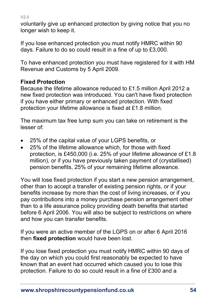voluntarily give up enhanced protection by giving notice that you no longer wish to keep it.

If you lose enhanced protection you must notify HMRC within 90 days. Failure to do so could result in a fine of up to £3,000.

To have enhanced protection you must have registered for it with HM Revenue and Customs by 5 April 2009.

# **Fixed Protection**

Because the lifetime allowance reduced to £1.5 million April 2012 a new fixed protection was introduced. You can't have fixed protection if you have either primary or enhanced protection. With fixed protection your lifetime allowance is fixed at £1.8 million.

The maximum tax free lump sum you can take on retirement is the lesser of:

- 25% of the capital value of your LGPS benefits, or
- 25% of the lifetime allowance which, for those with fixed protection, is £450,000 (i.e. 25% of your lifetime allowance of £1.8 million), or if you have previously taken payment of (crystallised) pension benefits, 25% of your remaining lifetime allowance.

You will lose fixed protection if you start a new pension arrangement, other than to accept a transfer of existing pension rights, or if your benefits increase by more than the cost of living increases, or if you pay contributions into a money purchase pension arrangement other than to a life assurance policy providing death benefits that started before 6 April 2006. You will also be subject to restrictions on where and how you can transfer benefits.

If you were an active member of the LGPS on or after 6 April 2016 then **fixed protection** would have been lost.

If you lose fixed protection you must notify HMRC within 90 days of the day on which you could first reasonably be expected to have known that an event had occurred which caused you to lose this protection. Failure to do so could result in a fine of £300 and a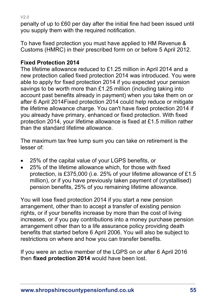penalty of up to £60 per day after the initial fine had been issued until you supply them with the required notification.

To have fixed protection you must have applied to HM Revenue & Customs (HMRC) in their prescribed form on or before 5 April 2012.

# **Fixed Protection 2014**

The lifetime allowance reduced to £1.25 million in April 2014 and a new protection called fixed protection 2014 was introduced. You were able to apply for fixed protection 2014 if you expected your pension savings to be worth more than £1.25 million (including taking into account past benefits already in payment) when you take them on or after 6 April 2014Fixed protection 2014 could help reduce or mitigate the lifetime allowance charge. You can't have fixed protection 2014 if you already have primary, enhanced or fixed protection. With fixed protection 2014, your lifetime allowance is fixed at £1.5 million rather than the standard lifetime allowance.

The maximum tax free lump sum you can take on retirement is the lesser of:

- 25% of the capital value of your LGPS benefits, or
- 25% of the lifetime allowance which, for those with fixed protection, is £375,000 (i.e. 25% of your lifetime allowance of £1.5 million), or if you have previously taken payment of (crystallised) pension benefits, 25% of you remaining lifetime allowance.

You will lose fixed protection 2014 if you start a new pension arrangement, other than to accept a transfer of existing pension rights, or if your benefits increase by more than the cost of living increases, or if you pay contributions into a money purchase pension arrangement other than to a life assurance policy providing death benefits that started before 6 April 2006. You will also be subject to restrictions on where and how you can transfer benefits.

If you were an active member of the LGPS on or after 6 April 2016 then **fixed protection 2014** would have been lost.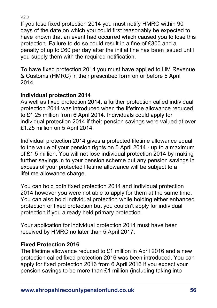If you lose fixed protection 2014 you must notify HMRC within 90 days of the date on which you could first reasonably be expected to have known that an event had occurred which caused you to lose this protection. Failure to do so could result in a fine of £300 and a penalty of up to £60 per day after the initial fine has been issued until you supply them with the required notification.

To have fixed protection 2014 you must have applied to HM Revenue & Customs (HMRC) in their prescribed form on or before 5 April 2014.

## **Individual protection 2014**

As well as fixed protection 2014, a further protection called individual protection 2014 was introduced when the lifetime allowance reduced to £1.25 million from 6 April 2014. Individuals could apply for individual protection 2014 if their pension savings were valued at over £1.25 million on 5 April 2014.

Individual protection 2014 gives a protected lifetime allowance equal to the value of your pension rights on 5 April 2014 - up to a maximum of £1.5 million. You will not lose individual protection 2014 by making further savings in to your pension scheme but any pension savings in excess of your protected lifetime allowance will be subject to a lifetime allowance charge.

You can hold both fixed protection 2014 and individual protection 2014 however you were not able to apply for them at the same time. You can also hold individual protection while holding either enhanced protection or fixed protection but you couldn't apply for individual protection if you already held primary protection.

Your application for individual protection 2014 must have been received by HMRC no later than 5 April 2017.

#### **Fixed Protection 2016**

The lifetime allowance reduced to £1 million in April 2016 and a new protection called fixed protection 2016 was been introduced. You can apply for fixed protection 2016 from 6 April 2016 if you expect your pension savings to be more than £1 million (including taking into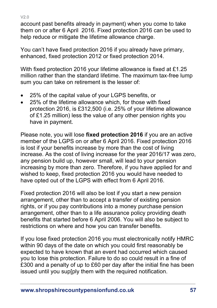account past benefits already in payment) when you come to take them on or after 6 April 2016. Fixed protection 2016 can be used to help reduce or mitigate the lifetime allowance charge.

You can't have fixed protection 2016 if you already have primary, enhanced, fixed protection 2012 or fixed protection 2014.

With fixed protection 2016 your lifetime allowance is fixed at £1.25 million rather than the standard lifetime. The maximum tax-free lump sum you can take on retirement is the lesser of:

- 25% of the capital value of your LGPS benefits, or
- 25% of the lifetime allowance which, for those with fixed protection 2016, is £312,500 (i.e. 25% of your lifetime allowance of £1.25 million) less the value of any other pension rights you have in payment.

Please note, you will lose **fixed protection 2016** if you are an active member of the LGPS on or after 6 April 2016. Fixed protection 2016 is lost if your benefits increase by more than the cost of living increase. As the cost of living increase for the year 2016/17 was zero, any pension build up, however small, will lead to your pension increasing by more than zero. Therefore, if you have applied for and wished to keep, fixed protection 2016 you would have needed to have opted out of the LGPS with effect from 6 April 2016.

Fixed protection 2016 will also be lost if you start a new pension arrangement, other than to accept a transfer of existing pension rights, or if you pay contributions into a money purchase pension arrangement, other than to a life assurance policy providing death benefits that started before 6 April 2006. You will also be subject to restrictions on where and how you can transfer benefits.

If you lose fixed protection 2016 you must electronically notify HMRC within 90 days of the date on which you could first reasonably be expected to have known that an event had occurred which caused you to lose this protection. Failure to do so could result in a fine of £300 and a penalty of up to £60 per day after the initial fine has been issued until you sup[ply them with the required notification.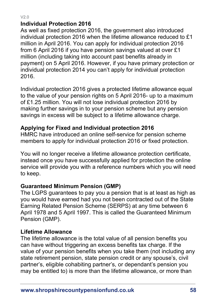## **Individual Protection 2016**

As well as fixed protection 2016, the government also introduced individual protection 2016 when the lifetime allowance reduced to £1 million in April 2016. You can apply for individual protection 2016 from 6 April 2016 if you have pension savings valued at over £1 million (including taking into account past benefits already in payment) on 5 April 2016. However, if you have primary protection or individual protection 2014 you can't apply for individual protection 2016.

Individual protection 2016 gives a protected lifetime allowance equal to the value of your pension rights on 5 April 2016- up to a maximum of £1.25 million. You will not lose individual protection 2016 by making further savings in to your pension scheme but any pension savings in excess will be subject to a lifetime allowance charge.

## **Applying for Fixed and Individual protection 2016**

HMRC have introduced an online self-service for pension scheme members to apply for individual protection 2016 or fixed protection.

You will no longer receive a lifetime allowance protection certificate, instead once you have successfully applied for protection the online service will provide you with a reference numbers which you will need to keep.

## **Guaranteed Minimum Pension (GMP)**

The LGPS guarantees to pay you a pension that is at least as high as you would have earned had you not been contracted out of the State Earning Related Pension Scheme (SERPS) at any time between 6 April 1978 and 5 April 1997. This is called the Guaranteed Minimum Pension (GMP).

## **Lifetime Allowance**

The lifetime allowance is the total value of all pension benefits you can have without triggering an excess benefits tax charge. If the value of your pension benefits when you take them (not including any state retirement pension, state pension credit or any spouse's, civil partner's, eligible cohabiting partner's, or dependant's pension you may be entitled to) is more than the lifetime allowance, or more than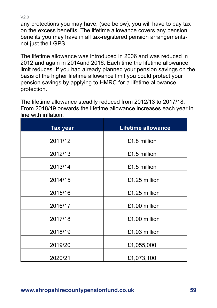any protections you may have, (see below), you will have to pay tax on the excess benefits. The lifetime allowance covers any pension benefits you may have in all tax-registered pension arrangementsnot just the LGPS.

The lifetime allowance was introduced in 2006 and was reduced in 2012 and again in 2014and 2016. Each time the lifetime allowance limit reduces. If you had already planned your pension savings on the basis of the higher lifetime allowance limit you could protect your pension savings by applying to HMRC for a lifetime allowance protection.

The lifetime allowance steadily reduced from 2012/13 to 2017/18. From 2018/19 onwards the lifetime allowance increases each year in line with inflation.

| <b>Tax year</b> | <b>Lifetime allowance</b> |
|-----------------|---------------------------|
| 2011/12         | £1.8 million              |
| 2012/13         | £1.5 million              |
| 2013/14         | £1.5 million              |
| 2014/15         | £1.25 million             |
| 2015/16         | £1.25 million             |
| 2016/17         | £1.00 million             |
| 2017/18         | £1.00 million             |
| 2018/19         | £1.03 million             |
| 2019/20         | £1,055,000                |
| 2020/21         | £1,073,100                |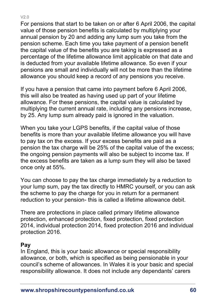For pensions that start to be taken on or after 6 April 2006, the capital value of those pension benefits is calculated by multiplying your annual pension by 20 and adding any lump sum you take from the pension scheme. Each time you take payment of a pension benefit the capital value of the benefits you are taking is expressed as a percentage of the lifetime allowance limit applicable on that date and is deducted from your available lifetime allowance. So even if your pensions are small and individually will not be more than the lifetime allowance you should keep a record of any pensions you receive.

If you have a pension that came into payment before 6 April 2006, this will also be treated as having used up part of your lifetime allowance. For these pensions, the capital value is calculated by multiplying the current annual rate, including any pensions increase, by 25. Any lump sum already paid is ignored in the valuation.

When you take your LGPS benefits, if the capital value of those benefits is more than your available lifetime allowance you will have to pay tax on the excess. If your excess benefits are paid as a pension the tax charge will be 25% of the capital value of the excess; the ongoing pension payments will also be subject to income tax. If the excess benefits are taken as a lump sum they will also be taxed once only at 55%.

You can choose to pay the tax charge immediately by a reduction to your lump sum, pay the tax directly to HMRC yourself, or you can ask the scheme to pay the charge for you in return for a permanent reduction to your pension- this is called a lifetime allowance debit.

There are protections in place called primary lifetime allowance protection, enhanced protection, fixed protection, fixed protection 2014, individual protection 2014, fixed protection 2016 and individual protection 2016.

## **Pay**

In England, this is your basic allowance or special responsibility allowance, or both, which is specified as being pensionable in your council's scheme of allowances. In Wales it is your basic and special responsibility allowance. It does not include any dependants' carers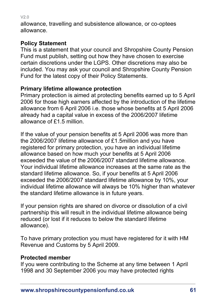allowance, travelling and subsistence allowance, or co-optees allowance.

# **Policy Statement**

This is a statement that your council and Shropshire County Pension Fund must publish, setting out how they have chosen to exercise certain discretions under the LGPS. Other discretions may also be included. You may ask your council and Shropshire County Pension Fund for the latest copy of their Policy Statements.

# **Primary lifetime allowance protection**

Primary protection is aimed at protecting benefits earned up to 5 April 2006 for those high earners affected by the introduction of the lifetime allowance from 6 April 2006 i.e. those whose benefits at 5 April 2006 already had a capital value in excess of the 2006/2007 lifetime allowance of £1.5 million.

If the value of your pension benefits at 5 April 2006 was more than the 2006/2007 lifetime allowance of £1.5million and you have registered for primary protection, you have an individual lifetime allowance based on how much your benefits at 5 April 2006 exceeded the value of the 2006/2007 standard lifetime allowance. Your individual lifetime allowance increases at the same rate as the standard lifetime allowance. So, if your benefits at 5 April 2006 exceeded the 2006/2007 standard lifetime allowance by 10%, your individual lifetime allowance will always be 10% higher than whatever the standard lifetime allowance is in future years.

If your pension rights are shared on divorce or dissolution of a civil partnership this will result in the individual lifetime allowance being reduced (or lost if it reduces to below the standard lifetime allowance).

To have primary protection you must have registered for it with HM Revenue and Customs by 5 April 2009.

## **Protected member**

If you were contributing to the Scheme at any time between 1 April 1998 and 30 September 2006 you may have protected rights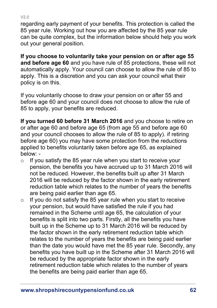regarding early payment of your benefits. This protection is called the 85 year rule. Working out how you are affected by the 85 year rule can be quite complex, but the information below should help you work

out your general position.

**If you choose to voluntarily take your pension on or after age 55 and before age 60** and you have rule of 85 protections, these will not automatically apply. Your council can choose to allow the rule of 85 to apply. This is a discretion and you can ask your council what their policy is on this.

If you voluntarily choose to draw your pension on or after 55 and before age 60 and your council does not choose to allow the rule of 85 to apply, your benefits are reduced.

**If you turned 60 before 31 March 2016** and you choose to retire on or after age 60 and before age 65 (from age 55 and before age 60 and your council chooses to allow the rule of 85 to apply). if retiring before age 60) you may have some protection from the reductions applied to benefits voluntarily taken before age 65, as explained below: -

- $\circ$  If you satisfy the 85 year rule when you start to receive your pension, the benefits you have accrued up to 31 March 2016 will not be reduced. However, the benefits built up after 31 March 2016 will be reduced by the factor shown in the [early retirement](file:///C:/Users/CC160405/AppData/Local/Packages/Microsoft.MicrosoftEdge_8wekyb3d8bbwe/TempState/Downloads/CLLRFv1.9t%20(1).docx%23dcReduced)  [reduction table](file:///C:/Users/CC160405/AppData/Local/Packages/Microsoft.MicrosoftEdge_8wekyb3d8bbwe/TempState/Downloads/CLLRFv1.9t%20(1).docx%23dcReduced) which relates to the number of years the benefits are being paid earlier than age 65.
- $\circ$  If you do not satisfy the 85 year rule when you start to receive your pension, but would have satisfied the rule if you had remained in the Scheme until age 65, the calculation of your benefits is split into two parts. Firstly, all the benefits you have built up in the Scheme up to 31 March 2016 will be reduced by the factor shown in the [early retirement reduction table](file:///C:/Users/CC160405/AppData/Local/Packages/Microsoft.MicrosoftEdge_8wekyb3d8bbwe/TempState/Downloads/CLLRFv1.9t%20(1).docx%23dcReduced) which relates to the number of years the benefits are being paid earlier than the date you would have met the 85 year rule. Secondly, any benefits you have built up in the Scheme after 31 March 2016 will be reduced by the appropriate factor shown in the [early](file:///C:/Users/CC160405/AppData/Local/Packages/Microsoft.MicrosoftEdge_8wekyb3d8bbwe/TempState/Downloads/CLLRFv1.9t%20(1).docx%23dcReduced)  [retirement reduction table](file:///C:/Users/CC160405/AppData/Local/Packages/Microsoft.MicrosoftEdge_8wekyb3d8bbwe/TempState/Downloads/CLLRFv1.9t%20(1).docx%23dcReduced) which relates to the number of years the benefits are being paid earlier than age 65.

V2.0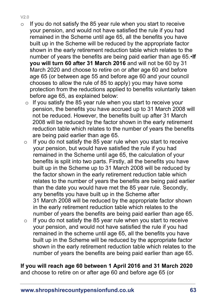- V2.0
- $\circ$  If you do not satisfy the 85 year rule when you start to receive your pension, and would not have satisfied the rule if you had remained in the Scheme until age 65, all the benefits you have built up in the Scheme will be reduced by the appropriate factor shown in the [early retirement reduction table](file:///C:/Users/CC160405/AppData/Local/Packages/Microsoft.MicrosoftEdge_8wekyb3d8bbwe/TempState/Downloads/CLLRFv1.9t%20(1).docx%23dcReduced) which relates to the number of years the benefits are being paid earlier than age 65.•**If you will turn 60 after 31 March 2016** and will not be 60 by 31 March 2020 and choose to retire on or after age 60 and before age 65 (or between age 55 and before age 60 and your council chooses to allow the rule of 85 to apply) you may have some protection from the reductions applied to benefits voluntarily taken before age 65, as explained below:
	- $\circ$  If you satisfy the 85 year rule when you start to receive your pension, the benefits you have accrued up to 31 March 2008 will not be reduced. However, the benefits built up after 31 March 2008 will be reduced by the factor shown in the early retirement reduction table which relates to the number of years the benefits are being paid earlier than age 65.
	- $\circ$  If you do not satisfy the 85 year rule when you start to receive your pension, but would have satisfied the rule if you had remained in the Scheme until age 65, the calculation of your benefits is split into two parts. Firstly, all the benefits you have built up in the Scheme up to 31 March 2008 will be reduced by the factor shown in the early retirement reduction table which relates to the number of years the benefits are being paid earlier than the date you would have met the 85 year rule. Secondly, any benefits you have built up in the Scheme after 31 March 2008 will be reduced by the appropriate factor shown in the early retirement reduction table which relates to the number of years the benefits are being paid earlier than age 65.
	- $\circ$  If you do not satisfy the 85 year rule when you start to receive your pension, and would not have satisfied the rule if you had remained in the scheme until age 65, all the benefits you have built up in the Scheme will be reduced by the appropriate factor shown in the early retirement reduction table which relates to the number of years the benefits are being paid earlier than age 65.

## **If you will reach age 60 between 1 April 2016 and 31 March 2020**

and choose to retire on or after age 60 and before age 65 (or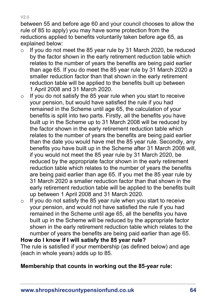between 55 and before age 60 and your council chooses to allow the rule of 85 to apply) you may have some protection from the reductions applied to benefits voluntarily taken before age 65, as explained below:

- $\circ$  If you do not meet the 85 year rule by 31 March 2020, be reduced by the factor shown in the early retirement reduction table which relates to the number of years the benefits are being paid earlier than age 65. If you do meet the 85 year rule by 31 March 2020 a smaller reduction factor than that shown in the early retirement reduction table will be applied to the benefits built up between 1 April 2008 and 31 March 2020.
- $\circ$  If you do not satisfy the 85 year rule when you start to receive your pension, but would have satisfied the rule if you had remained in the Scheme until age 65, the calculation of your benefits is split into two parts. Firstly, all the benefits you have built up in the Scheme up to 31 March 2008 will be reduced by the factor shown in the early retirement reduction table which relates to the number of years the benefits are being paid earlier than the date you would have met the 85 year rule. Secondly, any benefits you have built up in the Scheme after 31 March 2008 will, if you would not meet the 85 year rule by 31 March 2020, be reduced by the appropriate factor shown in the early retirement reduction table which relates to the number of years the benefits are being paid earlier than age 65. If you met the 85 year rule by 31 March 2020 a smaller reduction factor than that shown in the early retirement reduction table will be applied to the benefits built up between 1 April 2008 and 31 March 2020.
- $\circ$  If you do not satisfy the 85 year rule when you start to receive your pension, and would not have satisfied the rule if you had remained in the Scheme until age 65, all the benefits you have built up in the Scheme will be reduced by the appropriate factor shown in the early retirement reduction table which relates to the number of years the benefits are being paid earlier than age 65.

#### **How do I know if I will satisfy the 85 year rule?**

The rule is satisfied if your membership (as defined below) and age (each in whole years) adds up to 85.

#### **Membership that counts in working out the 85-year rule:**

V2.0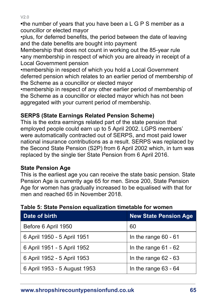$V20$ 

**•**the number of years that you have been a L G P S member as a councillor or elected mayor

•plus, for deferred benefits, the period between the date of leaving and the date benefits are bought into payment

Membership that does not count in working out the 85-year rule •any membership in respect of which you are already in receipt of a Local Government pension

•membership in respect of which you hold a Local Government deferred pension which relates to an earlier period of membership of the Scheme as a councillor or elected mayor

•membership in respect of any other earlier period of membership of the Scheme as a councillor or elected mayor which has not been aggregated with your current period of membership.

## **SERPS (State Earnings Related Pension Scheme)**

This is the extra earnings related part of the state pension that employed people could earn up to 5 April 2002. LGPS members' were automatically contracted out of SERPS, and most paid lower national insurance contributions as a result. SERPS was replaced by the Second State Pension (S2P) from 6 April 2002 which, in turn was replaced by the single tier State Pension from 6 April 2016.

## **State Pension Age**

This is the earliest age you can receive the state basic pension. State Pension Age is currently age 65 for men. Since 200, State Pension Age for women has gradually increased to be equalised with that for men and reached 65 in November 2018.

| Table 5: State Pension equalization timetable for women |   |
|---------------------------------------------------------|---|
|                                                         | . |

| Date of birth                | <b>New State Pension Age</b> |
|------------------------------|------------------------------|
| Before 6 April 1950          | 60                           |
| 6 April 1950 - 5 April 1951  | In the range $60 - 61$       |
| 6 April 1951 - 5 April 1952  | In the range $61 - 62$       |
| 6 April 1952 - 5 April 1953  | In the range $62 - 63$       |
| 6 April 1953 - 5 August 1953 | In the range 63 - 64         |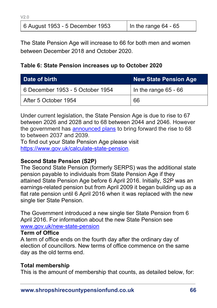| 6 August 1953 - 5 December 1953 | In the range $64 - 65$ |
|---------------------------------|------------------------|

The State Pension Age will increase to 66 for both men and women between December 2018 and October 2020.

#### **Table 6: State Pension increases up to October 2020**

| Date of birth                    | <b>New State Pension Age</b> |
|----------------------------------|------------------------------|
| 6 December 1953 - 5 October 1954 | In the range $65 - 66$       |
| After 5 October 1954             | -66                          |

Under current legislation, the State Pension Age is due to rise to 67 between 2026 and 2028 and to 68 between 2044 and 2046. However the government has [announced plans](https://www.gov.uk/government/uploads/system/uploads/attachment_data/file/630065/state-pension-age-review-final-report.pdf) to bring forward the rise to 68 to between 2037 and 2039.

To find out your State Pension Age please visit [https://www.gov.uk/calculate-state-pension.](https://www.gov.uk/calculate-state-pension)

#### **Second State Pension (S2P)**

The Second State Pension (formerly SERPS) was the additional state pension payable to individuals from State Pension Age if they attained State Pension Age before 6 April 2016. Initially, S2P was an earnings-related pension but from April 2009 it began building up as a flat rate pension until 6 April 2016 when it was replaced with the new single tier State Pension.

The Government introduced a new single tier State Pension from 6 April 2016. For information about the new State Pension see [www.gov.uk/new-state-pension](http://www.gov.uk/new-state-pension)

#### **Term of Office**

 $V20$ 

A term of office ends on the fourth day after the ordinary day of election of councillors. New terms of office commence on the same day as the old terms end.

#### <span id="page-65-0"></span>**Total membership**

This is the amount of membership that counts, as detailed below, for: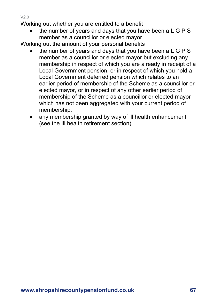Working out whether you are entitled to a benefit

• the number of years and days that you have been a L G P S member as a councillor or elected mayor.

Working out the amount of your personal benefits

- the number of years and days that you have been a L G P S member as a councillor or elected mayor but excluding any membership in respect of which you are already in receipt of a Local Government pension, or in respect of which you hold a Local Government deferred pension which relates to an earlier period of membership of the Scheme as a councillor or elected mayor, or in respect of any other earlier period of membership of the Scheme as a councillor or elected mayor which has not been aggregated with your current period of membership.
- any membership granted by way of ill health enhancement (see the [Ill health retirement](#page-11-0) section).